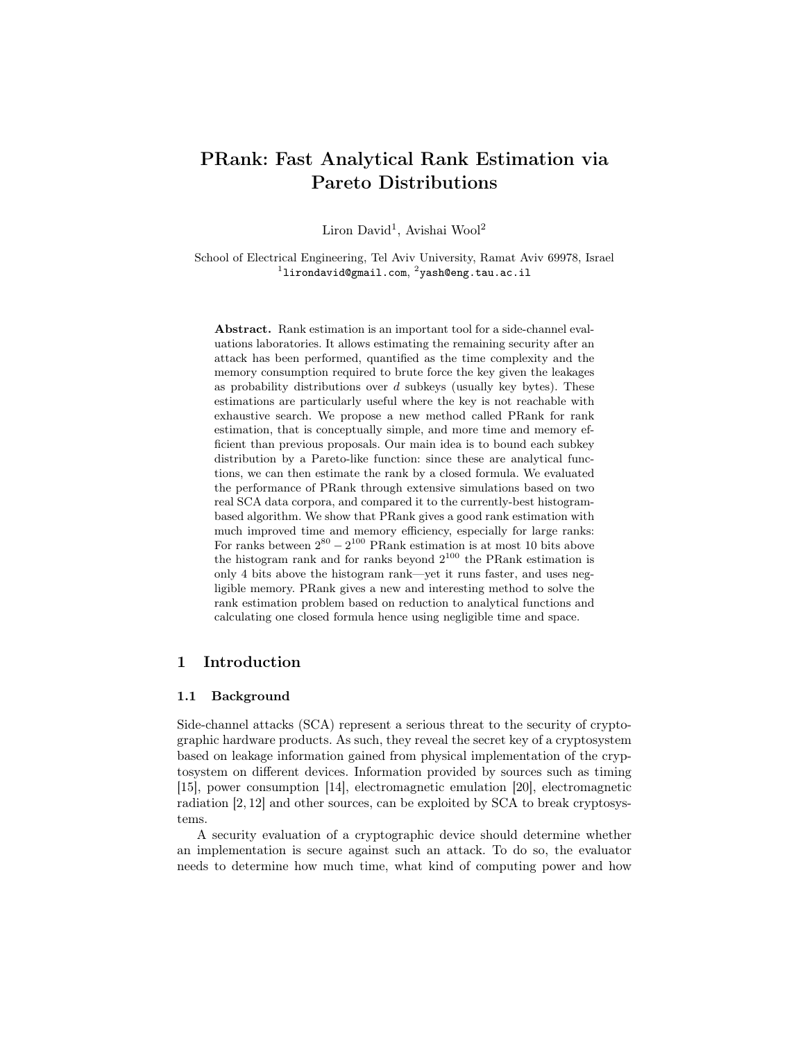# PRank: Fast Analytical Rank Estimation via Pareto Distributions

Liron David<sup>1</sup>, Avishai Wool<sup>2</sup>

School of Electrical Engineering, Tel Aviv University, Ramat Aviv 69978, Israel  $^1$ lirondavid@gmail.com,  $^2$ yash@eng.tau.ac.il

Abstract. Rank estimation is an important tool for a side-channel evaluations laboratories. It allows estimating the remaining security after an attack has been performed, quantified as the time complexity and the memory consumption required to brute force the key given the leakages as probability distributions over *d* subkeys (usually key bytes). These estimations are particularly useful where the key is not reachable with exhaustive search. We propose a new method called PRank for rank estimation, that is conceptually simple, and more time and memory efficient than previous proposals. Our main idea is to bound each subkey distribution by a Pareto-like function: since these are analytical functions, we can then estimate the rank by a closed formula. We evaluated the performance of PRank through extensive simulations based on two real SCA data corpora, and compared it to the currently-best histogrambased algorithm. We show that PRank gives a good rank estimation with much improved time and memory efficiency, especially for large ranks: For ranks between  $2^{80} - 2^{100}$  PRank estimation is at most 10 bits above the histogram rank and for ranks beyond  $2^{100}$  the PRank estimation is only 4 bits above the histogram rank—yet it runs faster, and uses negligible memory. PRank gives a new and interesting method to solve the rank estimation problem based on reduction to analytical functions and calculating one closed formula hence using negligible time and space.

# 1 Introduction

#### 1.1 Background

Side-channel attacks (SCA) represent a serious threat to the security of cryptographic hardware products. As such, they reveal the secret key of a cryptosystem based on leakage information gained from physical implementation of the cryptosystem on different devices. Information provided by sources such as timing [15], power consumption [14], electromagnetic emulation [20], electromagnetic radiation [2, 12] and other sources, can be exploited by SCA to break cryptosystems.

A security evaluation of a cryptographic device should determine whether an implementation is secure against such an attack. To do so, the evaluator needs to determine how much time, what kind of computing power and how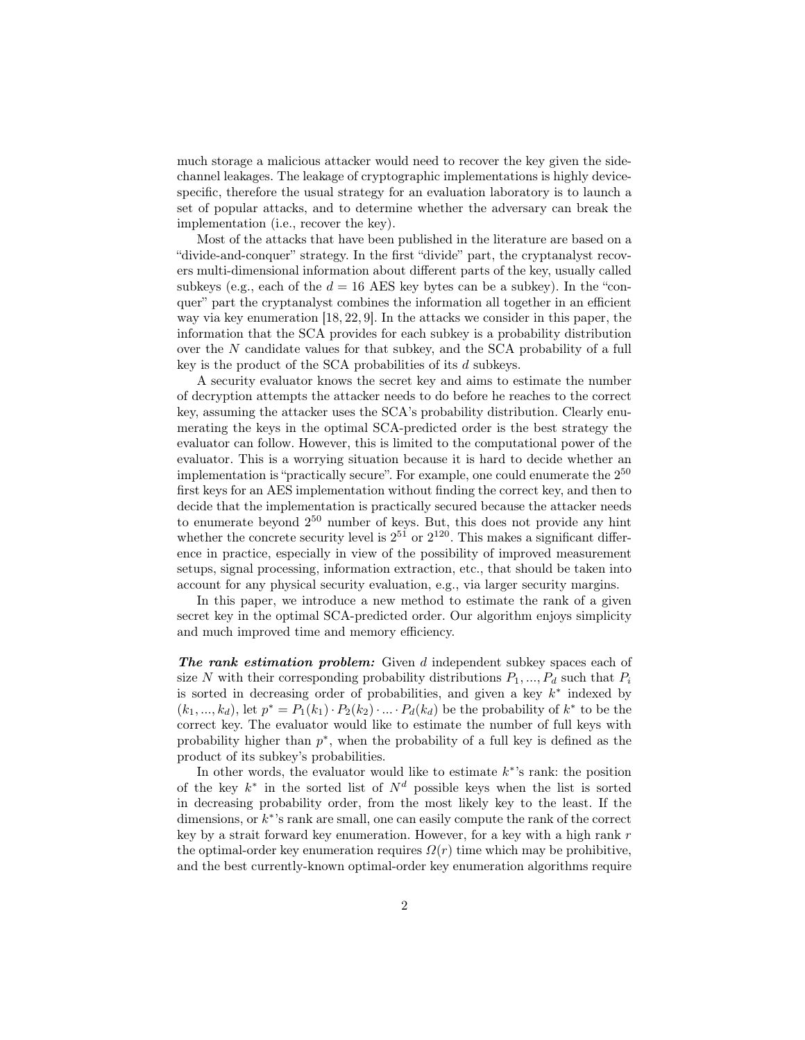much storage a malicious attacker would need to recover the key given the sidechannel leakages. The leakage of cryptographic implementations is highly devicespecific, therefore the usual strategy for an evaluation laboratory is to launch a set of popular attacks, and to determine whether the adversary can break the implementation (i.e., recover the key).

Most of the attacks that have been published in the literature are based on a "divide-and-conquer" strategy. In the first "divide" part, the cryptanalyst recovers multi-dimensional information about different parts of the key, usually called subkeys (e.g., each of the  $d = 16$  AES key bytes can be a subkey). In the "conquer" part the cryptanalyst combines the information all together in an efficient way via key enumeration [18, 22, 9]. In the attacks we consider in this paper, the information that the SCA provides for each subkey is a probability distribution over the *N* candidate values for that subkey, and the SCA probability of a full key is the product of the SCA probabilities of its *d* subkeys.

A security evaluator knows the secret key and aims to estimate the number of decryption attempts the attacker needs to do before he reaches to the correct key, assuming the attacker uses the SCA's probability distribution. Clearly enumerating the keys in the optimal SCA-predicted order is the best strategy the evaluator can follow. However, this is limited to the computational power of the evaluator. This is a worrying situation because it is hard to decide whether an implementation is "practically secure". For example, one could enumerate the  $2^{50}$ first keys for an AES implementation without finding the correct key, and then to decide that the implementation is practically secured because the attacker needs to enumerate beyond 2 <sup>50</sup> number of keys. But, this does not provide any hint whether the concrete security level is  $2^{51}$  or  $2^{120}$ . This makes a significant difference in practice, especially in view of the possibility of improved measurement setups, signal processing, information extraction, etc., that should be taken into account for any physical security evaluation, e.g., via larger security margins.

In this paper, we introduce a new method to estimate the rank of a given secret key in the optimal SCA-predicted order. Our algorithm enjoys simplicity and much improved time and memory efficiency.

*The rank estimation problem:* Given *d* independent subkey spaces each of size *N* with their corresponding probability distributions  $P_1, ..., P_d$  such that  $P_i$ is sorted in decreasing order of probabilities, and given a key *k ∗* indexed by  $(k_1, ..., k_d)$ , let  $p^* = P_1(k_1) \cdot P_2(k_2) \cdot ... \cdot P_d(k_d)$  be the probability of  $k^*$  to be the correct key. The evaluator would like to estimate the number of full keys with probability higher than *p ∗* , when the probability of a full key is defined as the product of its subkey's probabilities.

In other words, the evaluator would like to estimate *k ∗* 's rank: the position of the key *k ∗* in the sorted list of *N<sup>d</sup>* possible keys when the list is sorted in decreasing probability order, from the most likely key to the least. If the dimensions, or *k ∗* 's rank are small, one can easily compute the rank of the correct key by a strait forward key enumeration. However, for a key with a high rank *r* the optimal-order key enumeration requires  $\Omega(r)$  time which may be prohibitive, and the best currently-known optimal-order key enumeration algorithms require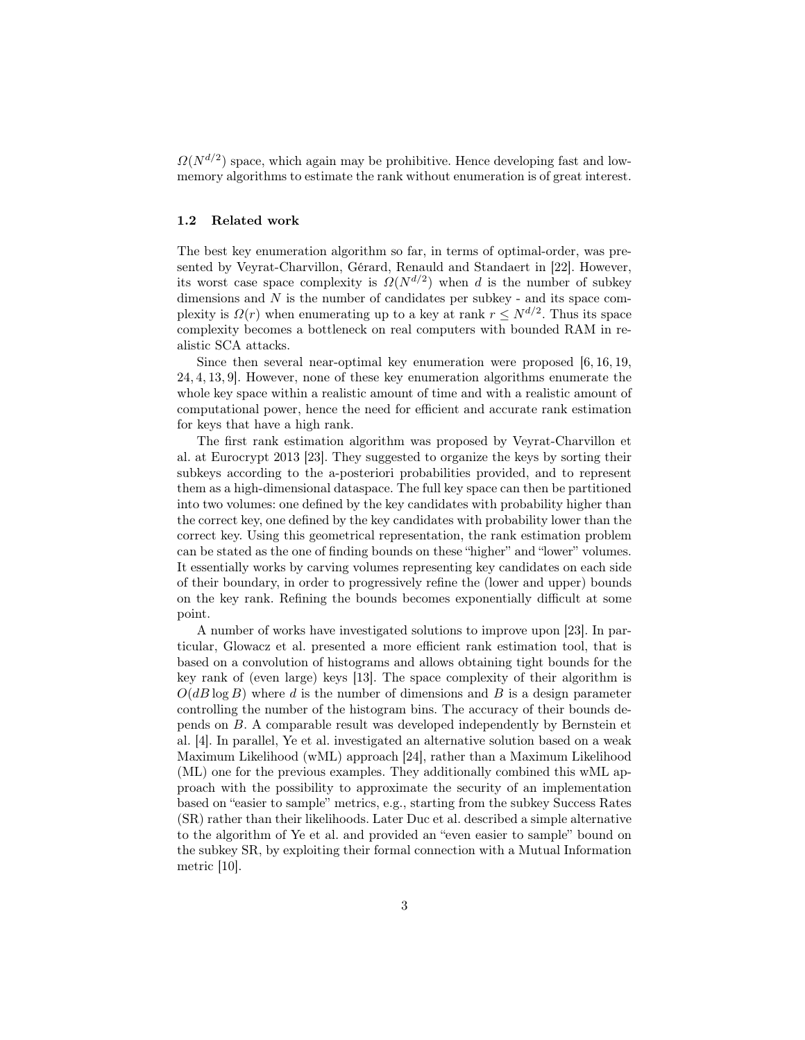$\Omega(N^{d/2})$  space, which again may be prohibitive. Hence developing fast and lowmemory algorithms to estimate the rank without enumeration is of great interest.

### 1.2 Related work

The best key enumeration algorithm so far, in terms of optimal-order, was presented by Veyrat-Charvillon, Gérard, Renauld and Standaert in [22]. However, its worst case space complexity is  $\Omega(N^{d/2})$  when *d* is the number of subkey dimensions and *N* is the number of candidates per subkey - and its space complexity is  $\Omega(r)$  when enumerating up to a key at rank  $r \leq N^{d/2}$ . Thus its space complexity becomes a bottleneck on real computers with bounded RAM in realistic SCA attacks.

Since then several near-optimal key enumeration were proposed [6, 16, 19, 24, 4, 13, 9]. However, none of these key enumeration algorithms enumerate the whole key space within a realistic amount of time and with a realistic amount of computational power, hence the need for efficient and accurate rank estimation for keys that have a high rank.

The first rank estimation algorithm was proposed by Veyrat-Charvillon et al. at Eurocrypt 2013 [23]. They suggested to organize the keys by sorting their subkeys according to the a-posteriori probabilities provided, and to represent them as a high-dimensional dataspace. The full key space can then be partitioned into two volumes: one defined by the key candidates with probability higher than the correct key, one defined by the key candidates with probability lower than the correct key. Using this geometrical representation, the rank estimation problem can be stated as the one of finding bounds on these "higher" and "lower" volumes. It essentially works by carving volumes representing key candidates on each side of their boundary, in order to progressively refine the (lower and upper) bounds on the key rank. Refining the bounds becomes exponentially difficult at some point.

A number of works have investigated solutions to improve upon [23]. In particular, Glowacz et al. presented a more efficient rank estimation tool, that is based on a convolution of histograms and allows obtaining tight bounds for the key rank of (even large) keys [13]. The space complexity of their algorithm is  $O(dB \log B)$  where *d* is the number of dimensions and *B* is a design parameter controlling the number of the histogram bins. The accuracy of their bounds depends on *B*. A comparable result was developed independently by Bernstein et al. [4]. In parallel, Ye et al. investigated an alternative solution based on a weak Maximum Likelihood (wML) approach [24], rather than a Maximum Likelihood (ML) one for the previous examples. They additionally combined this wML approach with the possibility to approximate the security of an implementation based on "easier to sample" metrics, e.g., starting from the subkey Success Rates (SR) rather than their likelihoods. Later Duc et al. described a simple alternative to the algorithm of Ye et al. and provided an "even easier to sample" bound on the subkey SR, by exploiting their formal connection with a Mutual Information metric [10].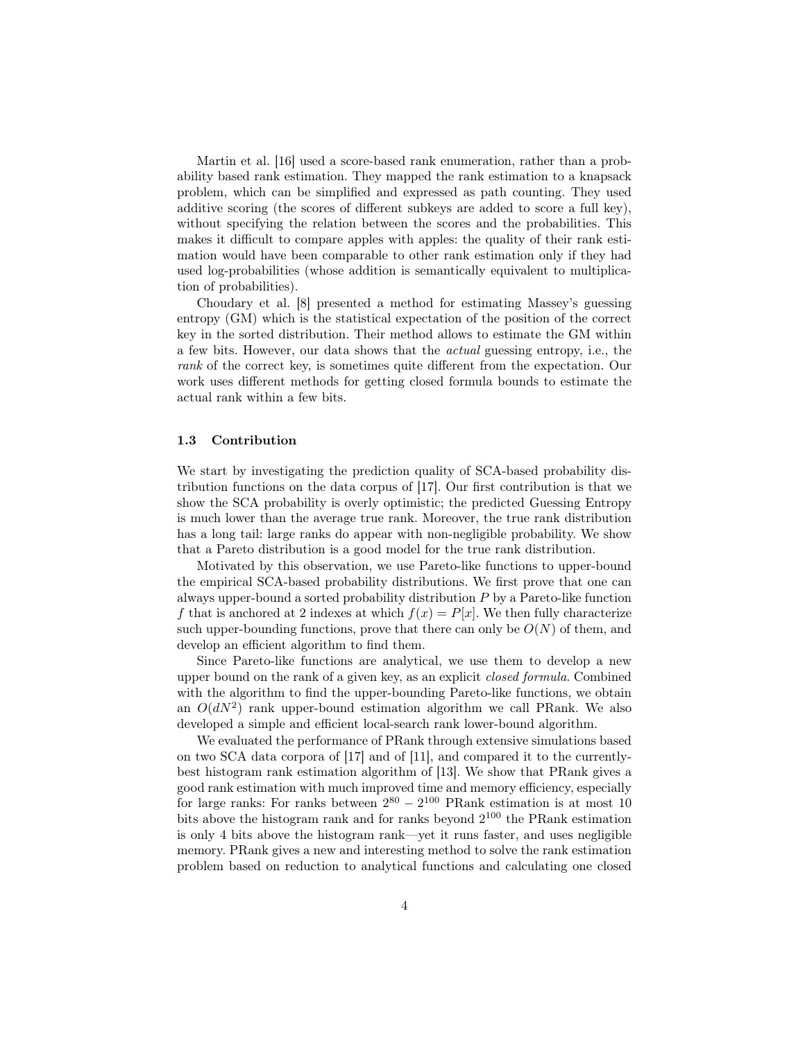Martin et al. [16] used a score-based rank enumeration, rather than a probability based rank estimation. They mapped the rank estimation to a knapsack problem, which can be simplified and expressed as path counting. They used additive scoring (the scores of different subkeys are added to score a full key), without specifying the relation between the scores and the probabilities. This makes it difficult to compare apples with apples: the quality of their rank estimation would have been comparable to other rank estimation only if they had used log-probabilities (whose addition is semantically equivalent to multiplication of probabilities).

Choudary et al. [8] presented a method for estimating Massey's guessing entropy (GM) which is the statistical expectation of the position of the correct key in the sorted distribution. Their method allows to estimate the GM within a few bits. However, our data shows that the *actual* guessing entropy, i.e., the *rank* of the correct key, is sometimes quite different from the expectation. Our work uses different methods for getting closed formula bounds to estimate the actual rank within a few bits.

### 1.3 Contribution

We start by investigating the prediction quality of SCA-based probability distribution functions on the data corpus of [17]. Our first contribution is that we show the SCA probability is overly optimistic; the predicted Guessing Entropy is much lower than the average true rank. Moreover, the true rank distribution has a long tail: large ranks do appear with non-negligible probability. We show that a Pareto distribution is a good model for the true rank distribution.

Motivated by this observation, we use Pareto-like functions to upper-bound the empirical SCA-based probability distributions. We first prove that one can always upper-bound a sorted probability distribution *P* by a Pareto-like function *f* that is anchored at 2 indexes at which  $f(x) = P[x]$ . We then fully characterize such upper-bounding functions, prove that there can only be  $O(N)$  of them, and develop an efficient algorithm to find them.

Since Pareto-like functions are analytical, we use them to develop a new upper bound on the rank of a given key, as an explicit *closed formula*. Combined with the algorithm to find the upper-bounding Pareto-like functions, we obtain an  $O(dN^2)$  rank upper-bound estimation algorithm we call PRank. We also developed a simple and efficient local-search rank lower-bound algorithm.

We evaluated the performance of PRank through extensive simulations based on two SCA data corpora of [17] and of [11], and compared it to the currentlybest histogram rank estimation algorithm of [13]. We show that PRank gives a good rank estimation with much improved time and memory efficiency, especially for large ranks: For ranks between  $2^{80} - 2^{100}$  PRank estimation is at most 10 bits above the histogram rank and for ranks beyond  $2^{100}$  the PRank estimation is only 4 bits above the histogram rank—yet it runs faster, and uses negligible memory. PRank gives a new and interesting method to solve the rank estimation problem based on reduction to analytical functions and calculating one closed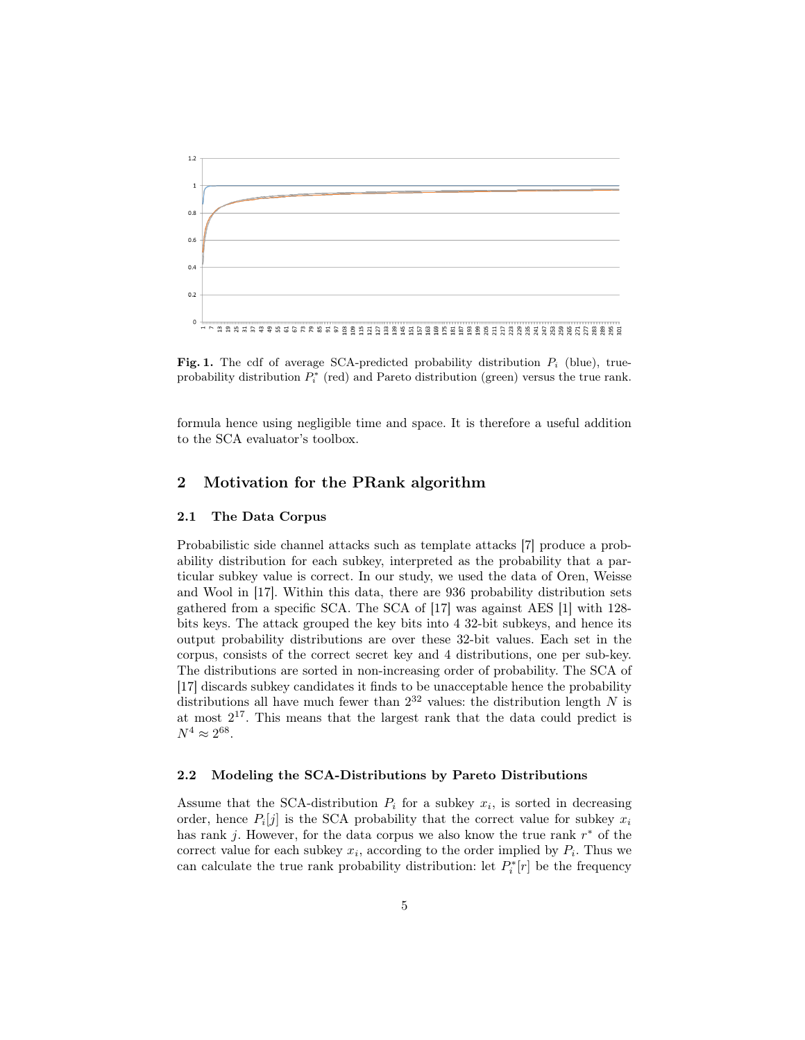

Fig. 1. The cdf of average SCA-predicted probability distribution *P<sup>i</sup>* (blue), trueprobability distribution  $P_i^*$  (red) and Pareto distribution (green) versus the true rank.

formula hence using negligible time and space. It is therefore a useful addition to the SCA evaluator's toolbox.

# 2 Motivation for the PRank algorithm

### 2.1 The Data Corpus

Probabilistic side channel attacks such as template attacks [7] produce a probability distribution for each subkey, interpreted as the probability that a particular subkey value is correct. In our study, we used the data of Oren, Weisse and Wool in [17]. Within this data, there are 936 probability distribution sets gathered from a specific SCA. The SCA of [17] was against AES [1] with 128 bits keys. The attack grouped the key bits into 4 32-bit subkeys, and hence its output probability distributions are over these 32-bit values. Each set in the corpus, consists of the correct secret key and 4 distributions, one per sub-key. The distributions are sorted in non-increasing order of probability. The SCA of [17] discards subkey candidates it finds to be unacceptable hence the probability distributions all have much fewer than 2 <sup>32</sup> values: the distribution length *N* is at most  $2^{17}$ . This means that the largest rank that the data could predict is  $N^4 \approx 2^{68}$ .

#### 2.2 Modeling the SCA-Distributions by Pareto Distributions

Assume that the SCA-distribution  $P_i$  for a subkey  $x_i$ , is sorted in decreasing order, hence  $P_i[j]$  is the SCA probability that the correct value for subkey  $x_i$ has rank *j*. However, for the data corpus we also know the true rank *r <sup>∗</sup>* of the correct value for each subkey  $x_i$ , according to the order implied by  $P_i$ . Thus we can calculate the true rank probability distribution: let  $P_i^*$ <sup> $[r]$ </sup> be the frequency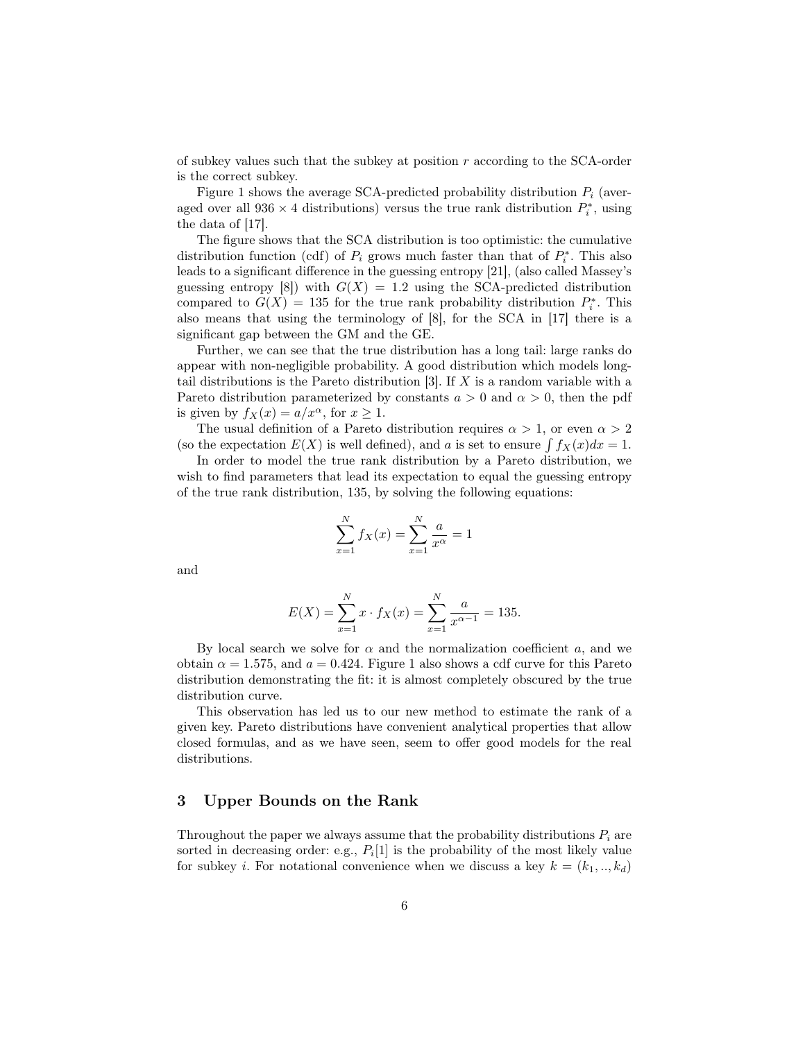of subkey values such that the subkey at position *r* according to the SCA-order is the correct subkey.

Figure 1 shows the average SCA-predicted probability distribution *P<sup>i</sup>* (averaged over all  $936 \times 4$  distributions) versus the true rank distribution  $P_i^*$ , using the data of [17].

The figure shows that the SCA distribution is too optimistic: the cumulative distribution function (cdf) of  $P_i$  grows much faster than that of  $P_i^*$ . This also leads to a significant difference in the guessing entropy [21], (also called Massey's guessing entropy [8]) with  $G(X) = 1.2$  using the SCA-predicted distribution compared to  $G(X) = 135$  for the true rank probability distribution  $P_i^*$ . This also means that using the terminology of [8], for the SCA in [17] there is a significant gap between the GM and the GE.

Further, we can see that the true distribution has a long tail: large ranks do appear with non-negligible probability. A good distribution which models longtail distributions is the Pareto distribution [3]. If *X* is a random variable with a Pareto distribution parameterized by constants  $a > 0$  and  $\alpha > 0$ , then the pdf is given by  $f_X(x) = a/x^\alpha$ , for  $x \ge 1$ .

The usual definition of a Pareto distribution requires  $\alpha > 1$ , or even  $\alpha > 2$ (so the expectation  $E(X)$  is well defined), and *a* is set to ensure  $\int f_X(x)dx = 1$ .

In order to model the true rank distribution by a Pareto distribution, we wish to find parameters that lead its expectation to equal the guessing entropy of the true rank distribution, 135, by solving the following equations:

$$
\sum_{x=1}^{N} f_X(x) = \sum_{x=1}^{N} \frac{a}{x^{\alpha}} = 1
$$

and

$$
E(X) = \sum_{x=1}^{N} x \cdot f_X(x) = \sum_{x=1}^{N} \frac{a}{x^{\alpha - 1}} = 135.
$$

By local search we solve for  $\alpha$  and the normalization coefficient  $a$ , and we obtain  $\alpha = 1.575$ , and  $a = 0.424$ . Figure 1 also shows a cdf curve for this Pareto distribution demonstrating the fit: it is almost completely obscured by the true distribution curve.

This observation has led us to our new method to estimate the rank of a given key. Pareto distributions have convenient analytical properties that allow closed formulas, and as we have seen, seem to offer good models for the real distributions.

# 3 Upper Bounds on the Rank

Throughout the paper we always assume that the probability distributions  $P_i$  are sorted in decreasing order: e.g.,  $P_i[1]$  is the probability of the most likely value for subkey *i*. For notational convenience when we discuss a key  $k = (k_1, ..., k_d)$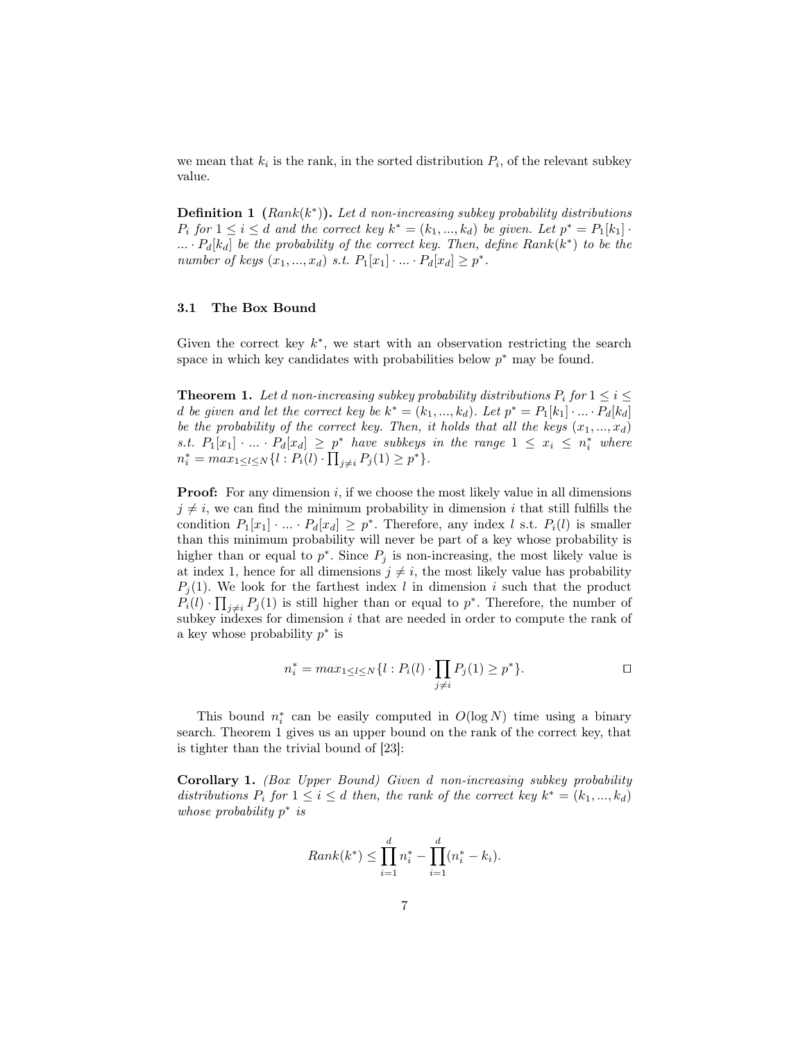we mean that  $k_i$  is the rank, in the sorted distribution  $P_i$ , of the relevant subkey value.

Definition 1 (*Rank*(*k ∗* )). *Let d non-increasing subkey probability distributions P*<sub>i</sub> for  $1 \le i \le d$  *and the correct key*  $k^* = (k_1, ..., k_d)$  *be given. Let*  $p^* = P_1[k_1] \cdot$ *... · Pd*[*kd*] *be the probability of the correct key. Then, define Rank*(*k ∗* ) *to be the number of keys*  $(x_1, ..., x_d)$  *s.t.*  $P_1[x_1] \cdot ... \cdot P_d[x_d] \geq p^*$ .

#### 3.1 The Box Bound

Given the correct key  $k^*$ , we start with an observation restricting the search space in which key candidates with probabilities below *p ∗* may be found.

**Theorem 1.** Let *d* non-increasing subkey probability distributions  $P_i$  for  $1 \leq i \leq j$ *d be given and let the correct key be*  $k^* = (k_1, ..., k_d)$ *. Let*  $p^* = P_1[k_1] \cdot ... \cdot P_d[k_d]$ *be the probability of the correct key. Then, it holds that all the keys*  $(x_1, ..., x_d)$ s.t.  $P_1[x_1] \cdot ... \cdot P_d[x_d] \geq p^*$  have subkeys in the range  $1 \leq x_i \leq n_i^*$  where  $n_i^* = max_{1 \leq l \leq N} \{ l : P_i(l) \cdot \prod_{j \neq i} P_j(1) \geq p^* \}.$ 

**Proof:** For any dimension *i*, if we choose the most likely value in all dimensions  $j \neq i$ , we can find the minimum probability in dimension *i* that still fulfills the condition  $P_1[x_1] \cdot ... \cdot P_d[x_d] \geq p^*$ . Therefore, any index *l* s.t.  $P_i(l)$  is smaller than this minimum probability will never be part of a key whose probability is higher than or equal to  $p^*$ . Since  $P_j$  is non-increasing, the most likely value is at index 1, hence for all dimensions  $j \neq i$ , the most likely value has probability  $P_i(1)$ . We look for the farthest index *l* in dimension *i* such that the product  $P_i(l) \cdot \prod_{j \neq i} P_j(l)$  is still higher than or equal to  $p^*$ . Therefore, the number of subkey indexes for dimension *i* that are needed in order to compute the rank of a key whose probability *p ∗* is

$$
n_i^* = \max_{1 \leq l \leq N} \{ l : P_i(l) \cdot \prod_{j \neq i} P_j(1) \geq p^* \}.
$$

This bound  $n_i^*$  can be easily computed in  $O(\log N)$  time using a binary search. Theorem 1 gives us an upper bound on the rank of the correct key, that is tighter than the trivial bound of [23]:

Corollary 1. *(Box Upper Bound) Given d non-increasing subkey probability distributions*  $P_i$  *for*  $1 \leq i \leq d$  *then, the rank of the correct key*  $k^* = (k_1, ..., k_d)$ *whose probability p ∗ is*

$$
Rank(k^*) \le \prod_{i=1}^d n_i^* - \prod_{i=1}^d (n_i^* - k_i).
$$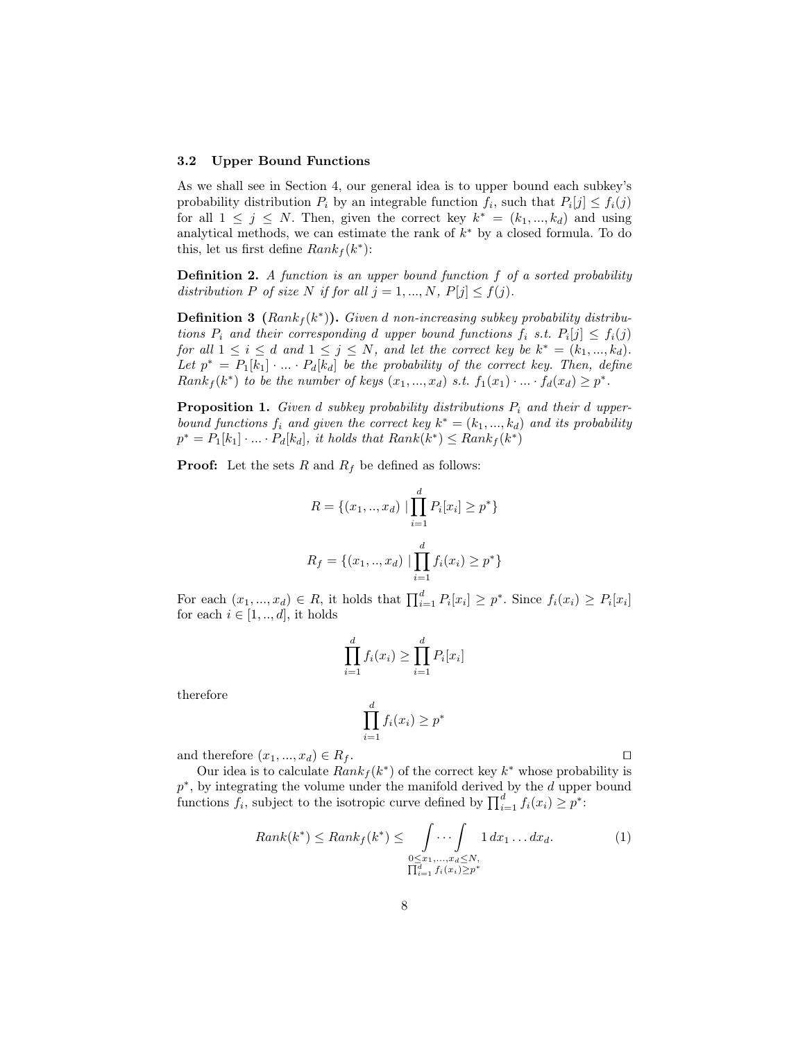# 3.2 Upper Bound Functions

As we shall see in Section 4, our general idea is to upper bound each subkey's probability distribution  $P_i$  by an integrable function  $f_i$ , such that  $P_i[j] \leq f_i(j)$ for all  $1 \leq j \leq N$ . Then, given the correct key  $k^* = (k_1, ..., k_d)$  and using analytical methods, we can estimate the rank of *k ∗* by a closed formula. To do this, let us first define  $Rank_f(k^*)$ :

Definition 2. *A function is an upper bound function f of a sorted probability distribution P of size N if for all*  $j = 1, ..., N$ ,  $P[j] \leq f(j)$ .

Definition 3 (*Rank<sup>f</sup>* (*k ∗* )). *Given d non-increasing subkey probability distributions*  $P_i$  *and their corresponding d upper bound functions*  $f_i$  *s.t.*  $P_i[j] \leq f_i(j)$ *for all*  $1 \leq i \leq d$  *and*  $1 \leq j \leq N$ *, and let the correct key be*  $k^* = (k_1, ..., k_d)$ *.*  $Let p^* = P_1[k_1] \cdot ... \cdot P_d[k_d]$  be the probability of the correct key. Then, define  $Rank_f(k^*)$  to be the number of keys  $(x_1,...,x_d)$  s.t.  $f_1(x_1) \cdot ... \cdot f_d(x_d) \geq p^*$ .

**Proposition 1.** *Given d subkey probability distributions*  $P_i$  *and their d upperbound functions*  $f_i$  *and given the correct key*  $k^* = (k_1, ..., k_d)$  *and its probability*  $p^* = P_1[k_1] \cdot ... \cdot P_d[k_d]$ , it holds that  $Rank(k^*) \leq Rank_f(k^*)$ 

**Proof:** Let the sets  $R$  and  $R_f$  be defined as follows:

$$
R = \{(x_1, ..., x_d) \mid \prod_{i=1}^d P_i[x_i] \ge p^*\}
$$
  

$$
R_f = \{(x_1, ..., x_d) \mid \prod_{i=1}^d f_i(x_i) \ge p^*\}
$$

For each  $(x_1, ..., x_d) \in R$ , it holds that  $\prod_{i=1}^d P_i[x_i] \geq p^*$ . Since  $f_i(x_i) \geq P_i[x_i]$ for each  $i \in [1, ..., d]$ , it holds

$$
\prod_{i=1}^d f_i(x_i) \ge \prod_{i=1}^d P_i[x_i]
$$

therefore

$$
\prod_{i=1}^d f_i(x_i) \ge p^*
$$

and therefore  $(x_1, ..., x_d) \in R_f$ .

Our idea is to calculate  $Rank_f(k^*)$  of the correct key  $k^*$  whose probability is *p ∗* , by integrating the volume under the manifold derived by the *d* upper bound functions  $\tilde{f}_i$ , subject to the isotropic curve defined by  $\prod_{i=1}^d f_i(x_i) \geq p^*$ :

$$
Rank(k^*) \leq Rank_f(k^*) \leq \int \cdots \int \limits_{\substack{0 \leq x_1, \ldots, x_d \leq N, \\ \prod_{i=1}^d f_i(x_i) \geq p^*}} 1 \, dx_1 \ldots dx_d.
$$
 (1)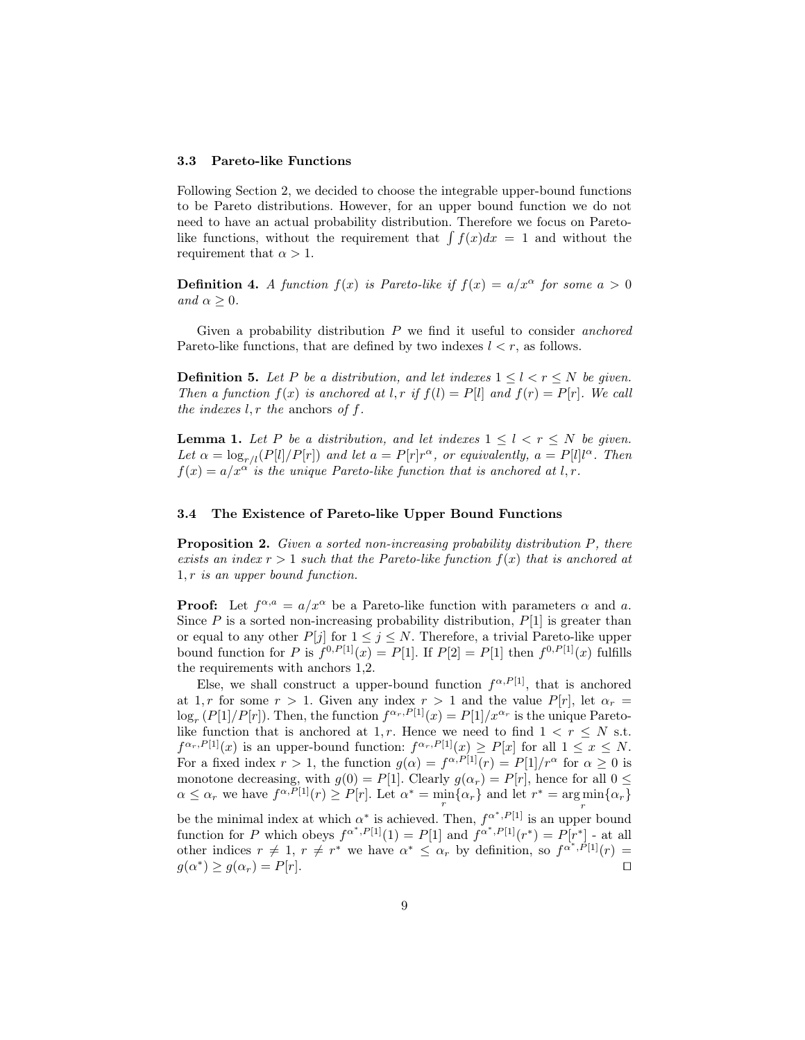#### 3.3 Pareto-like Functions

Following Section 2, we decided to choose the integrable upper-bound functions to be Pareto distributions. However, for an upper bound function we do not need to have an actual probability distribution. Therefore we focus on Paretolike functions, without the requirement that  $\int f(x)dx = 1$  and without the requirement that  $\alpha > 1$ .

**Definition 4.** *A function*  $f(x)$  *is Pareto-like if*  $f(x) = a/x^{\alpha}$  *for some*  $a > 0$ *and*  $\alpha \geq 0$ *.* 

Given a probability distribution *P* we find it useful to consider *anchored* Pareto-like functions, that are defined by two indexes  $l < r$ , as follows.

**Definition 5.** Let P be a distribution, and let indexes  $1 \leq l \leq r \leq N$  be given. *Then a function*  $f(x)$  *is anchored at l,r if*  $f(l) = P[l]$  *and*  $f(r) = P[r]$ *. We call the indexes l, r the* anchors *of f.*

**Lemma 1.** Let P be a distribution, and let indexes  $1 \leq l \leq r \leq N$  be given. *Let*  $\alpha = \log_{r/l}(P[l]/P[r])$  *and let*  $a = P[r]r^{\alpha}$ *, or equivalently,*  $a = P[l]l^{\alpha}$ *. Then*  $f(x) = a/x^{\alpha}$  *is the unique Pareto-like function that is anchored at l, r.* 

### 3.4 The Existence of Pareto-like Upper Bound Functions

Proposition 2. *Given a sorted non-increasing probability distribution P, there exists an index*  $r > 1$  *such that the Pareto-like function*  $f(x)$  *that is anchored at* 1*, r is an upper bound function.*

**Proof:** Let  $f^{\alpha,a} = a/x^{\alpha}$  be a Pareto-like function with parameters  $\alpha$  and  $a$ . Since  $P$  is a sorted non-increasing probability distribution,  $P[1]$  is greater than or equal to any other  $P[j]$  for  $1 \leq j \leq N$ . Therefore, a trivial Pareto-like upper bound function for *P* is  $f^{0,P[1]}(x) = P[1]$ . If  $P[2] = P[1]$  then  $f^{0,P[1]}(x)$  fulfills the requirements with anchors 1,2.

Else, we shall construct a upper-bound function  $f^{\alpha,P[1]}$ , that is anchored at 1, *r* for some  $r > 1$ . Given any index  $r > 1$  and the value  $P[r]$ , let  $\alpha_r =$  $\log_r(P[1]/P[r])$ . Then, the function  $f^{\alpha_r,P[1]}(x) = P[1]/x^{\alpha_r}$  is the unique Paretolike function that is anchored at 1, r. Hence we need to find  $1 < r \leq N$  s.t.  $f^{\alpha_r, P[1]}(x)$  is an upper-bound function:  $f^{\alpha_r, P[1]}(x) \geq P[x]$  for all  $1 \leq x \leq N$ . For a fixed index  $r > 1$ , the function  $g(\alpha) = f^{\alpha, P[1]}(r) = P[1]/r^{\alpha}$  for  $\alpha \ge 0$  is monotone decreasing, with  $g(0) = P[1]$ . Clearly  $g(\alpha_r) = P[r]$ , hence for all  $0 \leq$  $\alpha \leq \alpha_r$  we have  $f^{\alpha, P[1]}(r) \geq P[r]$ . Let  $\alpha^* = \min_r {\alpha_r}$  and let  $r^* = \arg\min_r {\alpha_r}$ *r* be the minimal index at which  $\alpha^*$  is achieved. Then,  $f^{\alpha^*,P[1]}$  is an upper bound function for *P* which obeys  $f^{\alpha^*,P[1]}(1) = P[1]$  and  $f^{\alpha^*,P[1]}(r^*) = P[r^*]$  - at all other indices  $r \neq 1$ ,  $r \neq r^*$  we have  $\alpha^* \leq \alpha_r$  by definition, so  $f^{\alpha^*,P[1]}(r) =$  $g(\alpha^*) \ge g(\alpha_r) = P[r]$ .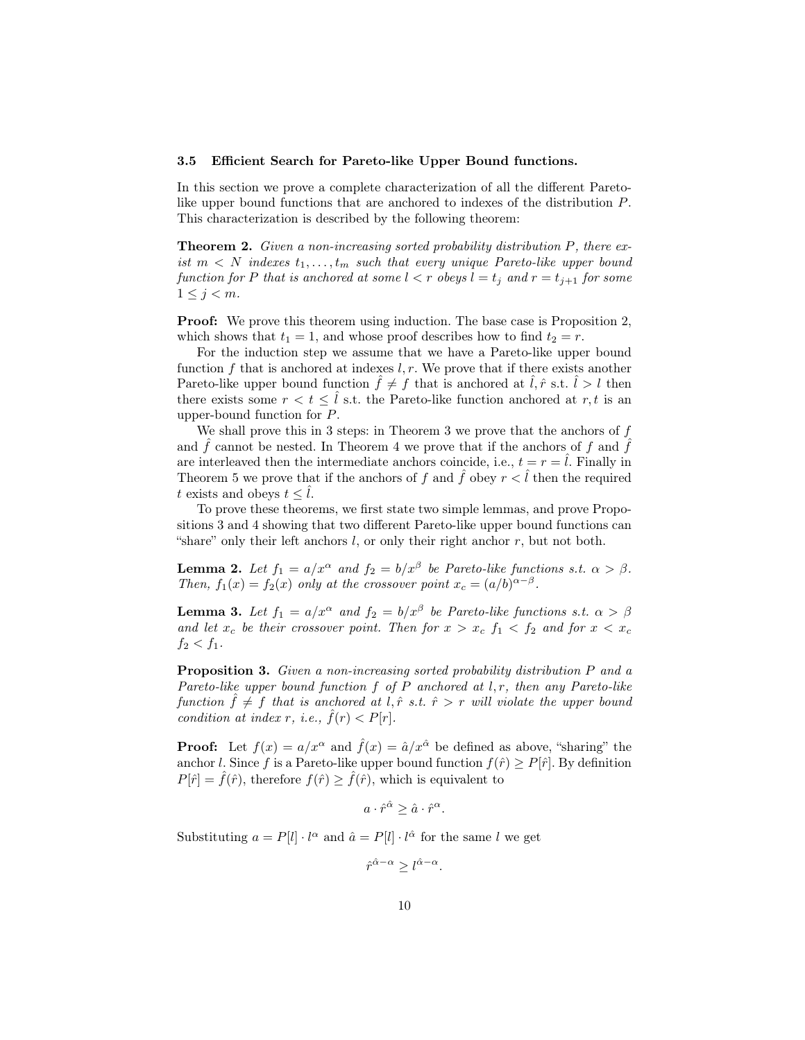#### 3.5 Efficient Search for Pareto-like Upper Bound functions.

In this section we prove a complete characterization of all the different Paretolike upper bound functions that are anchored to indexes of the distribution *P*. This characterization is described by the following theorem:

Theorem 2. *Given a non-increasing sorted probability distribution P, there exist*  $m \leq N$  *indexes*  $t_1, \ldots, t_m$  *such that every unique Pareto-like upper bound function for P that is anchored at some*  $l < r$  *obeys*  $l = t_j$  *and*  $r = t_{j+1}$  *for some*  $1 \leq j \leq m$ *.* 

Proof: We prove this theorem using induction. The base case is Proposition 2, which shows that  $t_1 = 1$ , and whose proof describes how to find  $t_2 = r$ .

For the induction step we assume that we have a Pareto-like upper bound function *f* that is anchored at indexes *l, r*. We prove that if there exists another Pareto-like upper bound function  $\hat{f} \neq f$  that is anchored at  $\hat{l}, \hat{r}$  s.t.  $\hat{l} > l$  then there exists some  $r < t \leq \hat{l}$  s.t. the Pareto-like function anchored at *r*, *t* is an upper-bound function for *P*.

We shall prove this in 3 steps: in Theorem 3 we prove that the anchors of *f* and  $\hat{f}$  cannot be nested. In Theorem 4 we prove that if the anchors of  $f$  and  $\hat{f}$ are interleaved then the intermediate anchors coincide, i.e.,  $t = r = \hat{l}$ . Finally in Theorem 5 we prove that if the anchors of f and  $\hat{f}$  obey  $r < \hat{l}$  then the required *t* exists and obeys  $t \leq l$ .

To prove these theorems, we first state two simple lemmas, and prove Propositions 3 and 4 showing that two different Pareto-like upper bound functions can "share" only their left anchors *l*, or only their right anchor *r*, but not both.

**Lemma 2.** Let  $f_1 = a/x^{\alpha}$  and  $f_2 = b/x^{\beta}$  be Pareto-like functions s.t.  $\alpha > \beta$ . *Then,*  $f_1(x) = f_2(x)$  *only at the crossover point*  $x_c = (a/b)^{\alpha-\beta}$ .

**Lemma 3.** Let  $f_1 = a/x^{\alpha}$  and  $f_2 = b/x^{\beta}$  be Pareto-like functions s.t.  $\alpha > \beta$ *and let*  $x_c$  *be their crossover point. Then for*  $x > x_c$   $f_1 < f_2$  *and for*  $x < x_c$  $f_2 < f_1$ .

Proposition 3. *Given a non-increasing sorted probability distribution P and a Pareto-like upper bound function f of P anchored at l, r, then any Pareto-like function*  $\hat{f} \neq f$  *that is anchored at l,*  $\hat{r}$  *s.t.*  $\hat{r} > r$  *will violate the upper bound condition at index r, i.e.,*  $\tilde{f}(r) < P[r]$ *.* 

**Proof:** Let  $f(x) = a/x^{\alpha}$  and  $\hat{f}(x) = \hat{a}/x^{\hat{\alpha}}$  be defined as above, "sharing" the anchor *l*. Since *f* is a Pareto-like upper bound function  $f(\hat{r}) \geq P[\hat{r}]$ . By definition  $P[\hat{r}] = \hat{f}(\hat{r})$ , therefore  $f(\hat{r}) \geq \hat{f}(\hat{r})$ , which is equivalent to

$$
a \cdot \hat{r}^{\hat{\alpha}} \ge \hat{a} \cdot \hat{r}^{\alpha}.
$$

Substituting  $a = P[l] \cdot l^{\alpha}$  and  $\hat{a} = P[l] \cdot l^{\hat{\alpha}}$  for the same *l* we get

 $\hat{r}^{\hat{\alpha}-\alpha} \geq l^{\hat{\alpha}-\alpha}$ .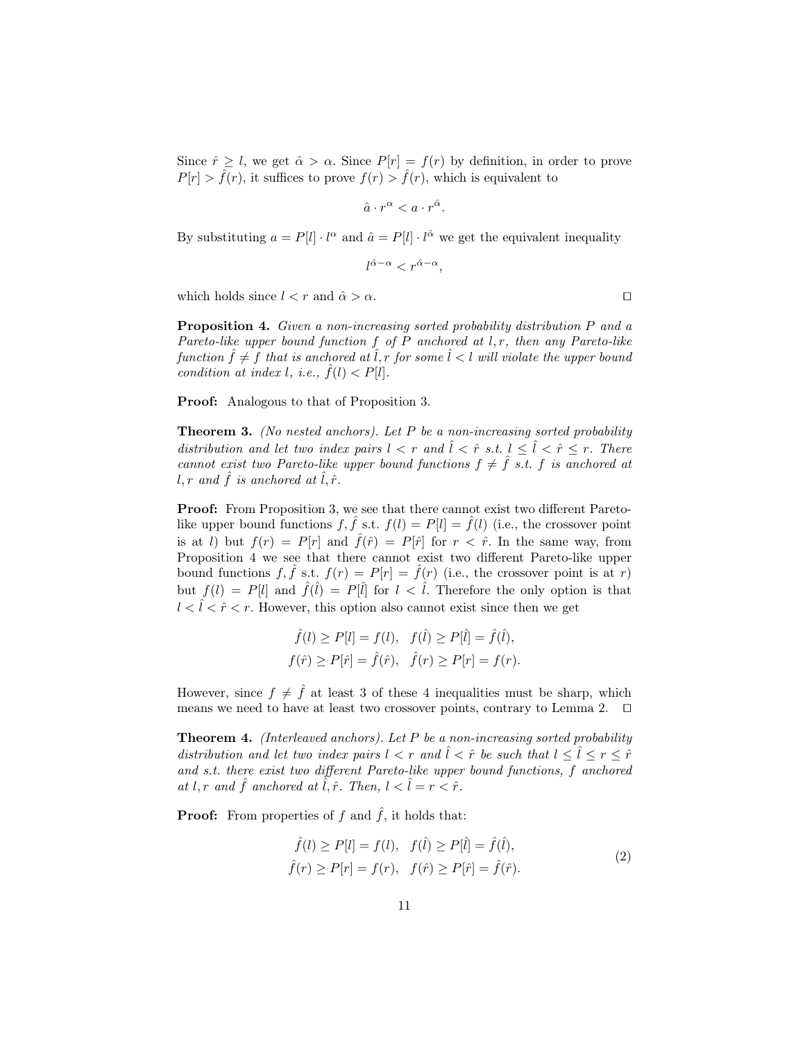Since  $\hat{r} \geq l$ , we get  $\hat{\alpha} > \alpha$ . Since  $P[r] = f(r)$  by definition, in order to prove  $P[r] > \hat{f}(r)$ , it suffices to prove  $f(r) > \hat{f}(r)$ , which is equivalent to

$$
\hat{a} \cdot r^{\alpha} < a \cdot r^{\hat{\alpha}}.
$$

By substituting  $a = P[l] \cdot l^{\alpha}$  and  $\hat{a} = P[l] \cdot l^{\hat{\alpha}}$  we get the equivalent inequality

$$
l^{\hat{\alpha} - \alpha} < r^{\hat{\alpha} - \alpha},
$$

which holds since  $l < r$  and  $\hat{\alpha} > \alpha$ .  $\Box$ 

Proposition 4. *Given a non-increasing sorted probability distribution P and a Pareto-like upper bound function f of P anchored at l, r, then any Pareto-like function*  $\hat{f} \neq f$  *that is anchored at*  $\hat{l}$ *, r for some*  $\hat{l}$   $\leq l$  *will violate the upper bound condition at index l, i.e.,*  $f(l) < P[l]$ .

Proof: Analogous to that of Proposition 3.

Theorem 3. *(No nested anchors). Let P be a non-increasing sorted probability distribution and let two index pairs*  $l < r$  *and*  $\hat{l} < \hat{r}$  *s.t.*  $l \leq \hat{l} < \hat{r} \leq r$ . There *cannot exist two Pareto-like upper bound functions*  $f \neq \hat{f}$  *s.t. f is anchored at*  $l, r$  and  $\hat{f}$  *is anchored at*  $l, \hat{r}$ *.* 

Proof: From Proposition 3, we see that there cannot exist two different Paretolike upper bound functions  $f, \hat{f}$  s.t.  $f(l) = P[l] = \hat{f}(l)$  (i.e., the crossover point is at *l*) but  $f(r) = P[r]$  and  $\hat{f}(\hat{r}) = P[\hat{r}]$  for  $r < \hat{r}$ . In the same way, from Proposition 4 we see that there cannot exist two different Pareto-like upper bound functions  $f, \hat{f}$  s.t.  $f(r) = P[r] = \hat{f}(r)$  (i.e., the crossover point is at *r*) but  $f(l) = P[l]$  and  $\hat{f}(\hat{l}) = P[\hat{l}]$  for  $l < \hat{l}$ . Therefore the only option is that  $l < \hat{l} < \hat{r} < r$ . However, this option also cannot exist since then we get

$$
\hat{f}(l) \ge P[l] = f(l), \quad f(\hat{l}) \ge P[\hat{l}] = \hat{f}(\hat{l}),
$$
  
\n $f(\hat{r}) \ge P[\hat{r}] = \hat{f}(\hat{r}), \quad \hat{f}(r) \ge P[r] = f(r).$ 

However, since  $f \neq \hat{f}$  at least 3 of these 4 inequalities must be sharp, which means we need to have at least two crossover points, contrary to Lemma 2. *⊓⊔*

Theorem 4. *(Interleaved anchors). Let P be a non-increasing sorted probability distribution and let two index pairs*  $l < r$  *and*  $\hat{l} < \hat{r}$  *be such that*  $l < \hat{l} < r < \hat{r}$ *and s.t. there exist two different Pareto-like upper bound functions, f anchored at l, r and*  $\hat{f}$  *anchored at*  $\hat{l}, \hat{r}$ *. Then,*  $l < \hat{l} = r < \hat{r}$ *.* 

**Proof:** From properties of  $f$  and  $\hat{f}$ , it holds that:

$$
\hat{f}(l) \ge P[l] = f(l), \quad f(\hat{l}) \ge P[\hat{l}] = \hat{f}(\hat{l}), \n\hat{f}(r) \ge P[r] = f(r), \quad f(\hat{r}) \ge P[\hat{r}] = \hat{f}(\hat{r}).
$$
\n(2)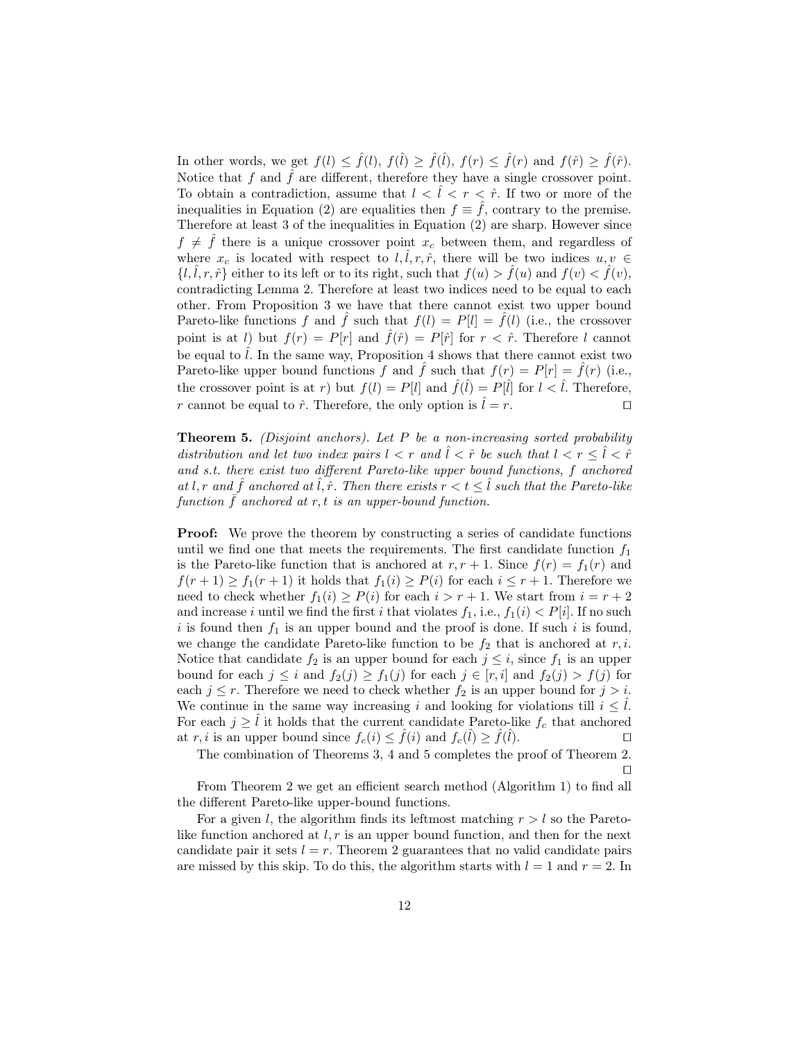In other words, we get  $f(l) \leq \hat{f}(l)$ ,  $f(\hat{l}) \geq \hat{f}(\hat{l})$ ,  $f(r) \leq \hat{f}(r)$  and  $f(\hat{r}) \geq \hat{f}(\hat{r})$ . Notice that  $f$  and  $\hat{f}$  are different, therefore they have a single crossover point. To obtain a contradiction, assume that  $l < \hat{l} < r < \hat{r}$ . If two or more of the inequalities in Equation (2) are equalities then  $f \equiv \tilde{f}$ , contrary to the premise. Therefore at least 3 of the inequalities in Equation (2) are sharp. However since  $f \neq \hat{f}$  there is a unique crossover point  $x_c$  between them, and regardless of where  $x_c$  is located with respect to  $l, l, r, \hat{r}$ , there will be two indices  $u, v \in$  $\{l, l, r, \hat{r}\}\$ either to its left or to its right, such that  $f(u) > f(u)$  and  $f(v) < f(v)$ , contradicting Lemma 2. Therefore at least two indices need to be equal to each other. From Proposition 3 we have that there cannot exist two upper bound Pareto-like functions f and f such that  $f(l) = P[l] = \overline{f}(l)$  (i.e., the crossover point is at *l*) but  $f(r) = P[r]$  and  $\hat{f}(\hat{r}) = P[\hat{r}]$  for  $r < \hat{r}$ . Therefore *l* cannot be equal to  $\hat{l}$ . In the same way, Proposition 4 shows that there cannot exist two Pareto-like upper bound functions *f* and *f* such that  $f(r) = P[r] = f(r)$  (i.e., the crossover point is at *r*) but  $f(l) = P[l]$  and  $\hat{f}(\hat{l}) = P[\hat{l}]$  for  $l < \hat{l}$ . Therefore, *r* cannot be equal to  $\hat{r}$ . Therefore, the only option is  $\hat{l} = r$ .  $\Box$ 

Theorem 5. *(Disjoint anchors). Let P be a non-increasing sorted probability distribution and let two index pairs*  $l < r$  *and*  $\hat{l} < \hat{r}$  *be such that*  $l < r \leq \hat{l} < \hat{r}$ *and s.t. there exist two different Pareto-like upper bound functions, f anchored at l, r and*  $\hat{f}$  *anchored at*  $\hat{l}$ *,*  $\hat{r}$ *. Then there exists*  $r < t \leq \hat{l}$  *such that the Pareto-like*  $function \bar{f}$  anchored at  $r, t$  *is an upper-bound function.* 

**Proof:** We prove the theorem by constructing a series of candidate functions until we find one that meets the requirements. The first candidate function  $f_1$ is the Pareto-like function that is anchored at  $r, r + 1$ . Since  $f(r) = f_1(r)$  and *f*(*r* + 1) *≥ f*<sub>1</sub>(*r* + 1) it holds that *f*<sub>1</sub>(*i*) *≥ P*(*i*) for each *i* ≤ *r* + 1. Therefore we need to check whether  $f_1(i) \geq P(i)$  for each  $i > r + 1$ . We start from  $i = r + 2$ and increase *i* until we find the first *i* that violates  $f_1$ , i.e.,  $f_1(i) < P[i]$ . If no such  $i$  is found then  $f_1$  is an upper bound and the proof is done. If such  $i$  is found, we change the candidate Pareto-like function to be  $f_2$  that is anchored at  $r, i$ . Notice that candidate  $f_2$  is an upper bound for each  $j \leq i$ , since  $f_1$  is an upper bound for each  $j \leq i$  and  $f_2(j) \geq f_1(j)$  for each  $j \in [r, i]$  and  $f_2(j) > f(j)$  for each  $j \leq r$ . Therefore we need to check whether  $f_2$  is an upper bound for  $j > i$ . We continue in the same way increasing *i* and looking for violations till  $i \leq \hat{l}$ . For each  $j \geq \hat{l}$  it holds that the current candidate Pareto-like  $f_c$  that anchored at *r*, *i* is an upper bound since  $f_c(i) \leq \hat{f}(i)$  and  $f_c(\hat{l}) \geq \hat{f}(i)$ ˆ*l*). *⊓⊔*

The combination of Theorems 3, 4 and 5 completes the proof of Theorem 2. *⊓⊔*

From Theorem 2 we get an efficient search method (Algorithm 1) to find all the different Pareto-like upper-bound functions.

For a given *l*, the algorithm finds its leftmost matching  $r > l$  so the Paretolike function anchored at *l, r* is an upper bound function, and then for the next candidate pair it sets  $l = r$ . Theorem 2 guarantees that no valid candidate pairs are missed by this skip. To do this, the algorithm starts with  $l = 1$  and  $r = 2$ . In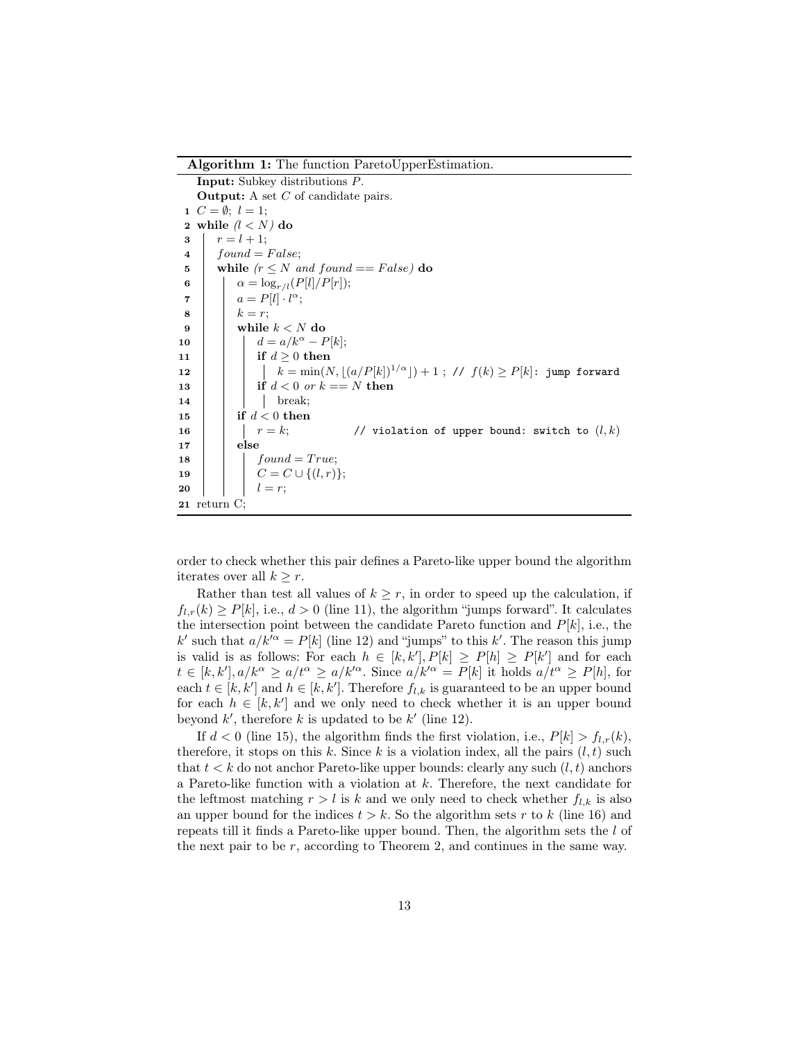Algorithm 1: The function ParetoUpperEstimation.

Input: Subkey distributions *P*. Output: A set *C* of candidate pairs. 1  $C = \emptyset$ ;  $l = 1$ ; 2 while  $(l < N)$  do  $r = l + 1;$  $4 \mid found = False;$ 5 while  $(r \leq N \text{ and found} == False)$  do 6  $\alpha = \log_{r/l}(P[l]/P[r]);$  $\sigma$  |  $a = P[l] \cdot l^{\alpha};$  $8 \mid \cdot \mid k = r;$ 9 | while  $k < N$  do 10 **d**  $d = a/k^{\alpha} - P[k];$ 11 | | if  $d > 0$  then 12 **k** = min(*N*,  $|(a/P[k])^{1/\alpha}|) + 1$ ; //  $f(k) \ge P[k]$ : jump forward 13 | | | if  $d < 0$  or  $k == N$  then 14 | | | break; 15 if *d <* 0 then 16  $r = k$ ; // violation of upper bound: switch to  $(l, k)$ 17 | else 18 *found* =  $True;$ 19 **c**  $\vert$  **c**  $\vert$  **c**  $\vert$  **c**  $\vert$  **c**  $\vert$  **c**  $\vert$  **c**  $\vert$  **c**  $\vert$  **c**  $\vert$  **c**  $\vert$  **c**  $\vert$  **c**  $\vert$  **c**  $\vert$  **c**  $\vert$  **c**  $\vert$  **c**  $\vert$  **c**  $\vert$  **c**  $\vert$  **c**  $\vert$  **c**  $\vert$  **c**  $\vert$  **c**  $\vert$  **c**  $\vert$  **c**  $\vert$  **c**  $20$  | |  $l = r$ ; 21 return C;

order to check whether this pair defines a Pareto-like upper bound the algorithm iterates over all  $k \geq r$ .

Rather than test all values of  $k \geq r$ , in order to speed up the calculation, if  $f_{l,r}(k) \geq P[k]$ , i.e.,  $d > 0$  (line 11), the algorithm "jumps forward". It calculates the intersection point between the candidate Pareto function and  $P[k]$ , i.e., the *k*<sup>*l*</sup> such that  $a/k'$ <sup> $\alpha$ </sup> = *P*[*k*] (line 12) and "jumps" to this *k*'. The reason this jump is valid is as follows: For each  $h \in [k, k']$ ,  $P[k] \geq P[h] \geq P[k']$  and for each  $t \in [k, k'], a/k^{\alpha} \ge a/t^{\alpha} \ge a/k'^{\alpha}$ . Since  $a/k'^{\alpha} = P[k]$  it holds  $a/t^{\alpha} \ge P[h]$ , for each  $t \in [k, k']$  and  $h \in [k, k']$ . Therefore  $f_{l,k}$  is guaranteed to be an upper bound for each  $h \in [k, k']$  and we only need to check whether it is an upper bound beyond  $k'$ , therefore  $k$  is updated to be  $k'$  (line 12).

If  $d < 0$  (line 15), the algorithm finds the first violation, i.e.,  $P[k] > f_{l,r}(k)$ , therefore, it stops on this  $k$ . Since  $k$  is a violation index, all the pairs  $(l, t)$  such that *t < k* do not anchor Pareto-like upper bounds: clearly any such (*l, t*) anchors a Pareto-like function with a violation at *k*. Therefore, the next candidate for the leftmost matching  $r > l$  is k and we only need to check whether  $f_{l,k}$  is also an upper bound for the indices  $t > k$ . So the algorithm sets  $r$  to  $k$  (line 16) and repeats till it finds a Pareto-like upper bound. Then, the algorithm sets the *l* of the next pair to be *r*, according to Theorem 2, and continues in the same way.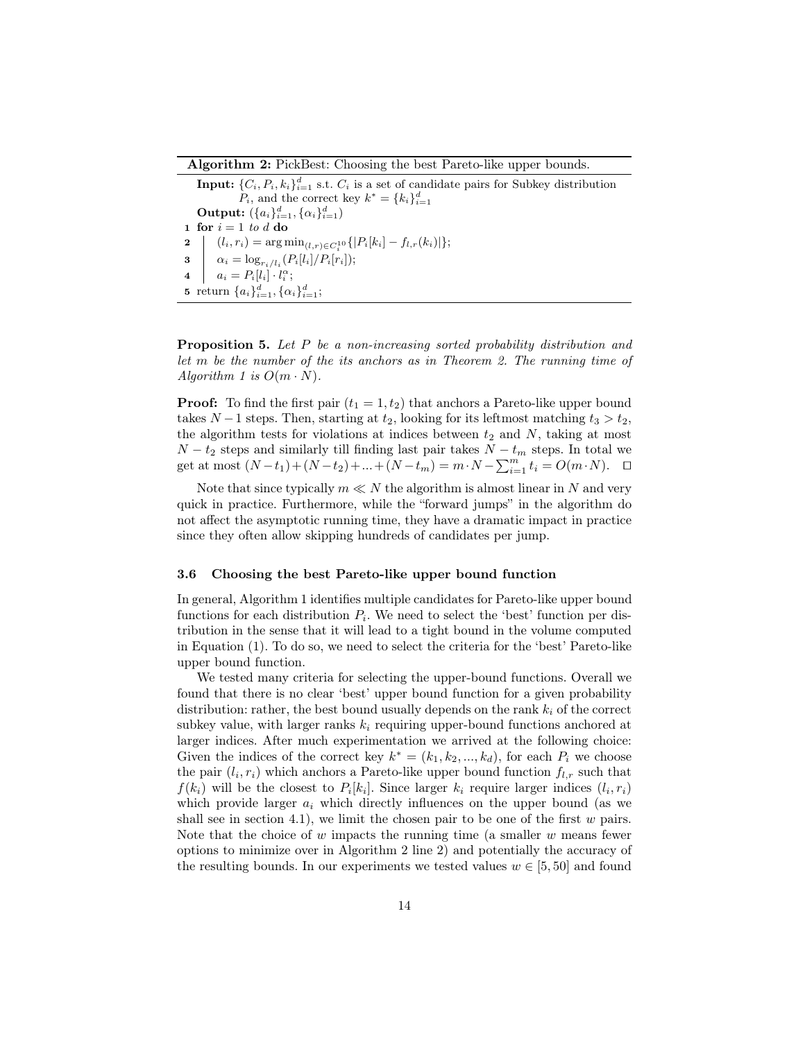Algorithm 2: PickBest: Choosing the best Pareto-like upper bounds.

Input:  $\{C_i, P_i, k_i\}_{i=1}^d$  s.t.  $C_i$  is a set of candidate pairs for Subkey distribution *P*<sub>*i*</sub>, and the correct key  $k^* = \{k_i\}_{i=1}^d$  $\textbf{Output: } (\{a_i\}_{i=1}^d, \{\alpha_i\}_{i=1}^d)$ 1 for  $i = 1$  *to*  $d$  do  $2 \left[ (l_i, r_i) = \argmin_{(l,r) \in C_i^{10}} \{ |P_i[k_i] - f_{l,r}(k_i)| \}; \right.$  $a_i = \log_{r_i/l_i}(P_i[l_i]/P_i[r_i]);$  $a_i = P_i[l_i] \cdot l_i^{\alpha};$ 5 return  $\{a_i\}_{i=1}^d, \{\alpha_i\}_{i=1}^d$ ;

Proposition 5. *Let P be a non-increasing sorted probability distribution and let m be the number of the its anchors as in Theorem 2. The running time of Algorithm 1 is*  $O(m \cdot N)$ *.* 

**Proof:** To find the first pair  $(t_1 = 1, t_2)$  that anchors a Pareto-like upper bound takes *N* − 1 steps. Then, starting at  $t_2$ , looking for its leftmost matching  $t_3 > t_2$ , the algorithm tests for violations at indices between  $t_2$  and  $N$ , taking at most  $N - t_2$  steps and similarly till finding last pair takes  $N - t_m$  steps. In total we get at most  $(N-t_1) + (N-t_2) + ... + (N-t_m) = m \cdot N - \sum_{i=1}^{m} t_i = O(m \cdot N)$ .  $\Box$ 

Note that since typically  $m \ll N$  the algorithm is almost linear in N and very quick in practice. Furthermore, while the "forward jumps" in the algorithm do not affect the asymptotic running time, they have a dramatic impact in practice since they often allow skipping hundreds of candidates per jump.

#### 3.6 Choosing the best Pareto-like upper bound function

In general, Algorithm 1 identifies multiple candidates for Pareto-like upper bound functions for each distribution  $P_i$ . We need to select the 'best' function per distribution in the sense that it will lead to a tight bound in the volume computed in Equation (1). To do so, we need to select the criteria for the 'best' Pareto-like upper bound function.

We tested many criteria for selecting the upper-bound functions. Overall we found that there is no clear 'best' upper bound function for a given probability distribution: rather, the best bound usually depends on the rank *k<sup>i</sup>* of the correct subkey value, with larger ranks  $k_i$  requiring upper-bound functions anchored at larger indices. After much experimentation we arrived at the following choice: Given the indices of the correct key  $k^* = (k_1, k_2, ..., k_d)$ , for each  $P_i$  we choose the pair  $(l_i, r_i)$  which anchors a Pareto-like upper bound function  $f_{l,r}$  such that  $f(k_i)$  will be the closest to  $P_i[k_i]$ . Since larger  $k_i$  require larger indices  $(l_i, r_i)$ which provide larger *a<sup>i</sup>* which directly influences on the upper bound (as we shall see in section 4.1), we limit the chosen pair to be one of the first *w* pairs. Note that the choice of *w* impacts the running time (a smaller *w* means fewer options to minimize over in Algorithm 2 line 2) and potentially the accuracy of the resulting bounds. In our experiments we tested values  $w \in [5, 50]$  and found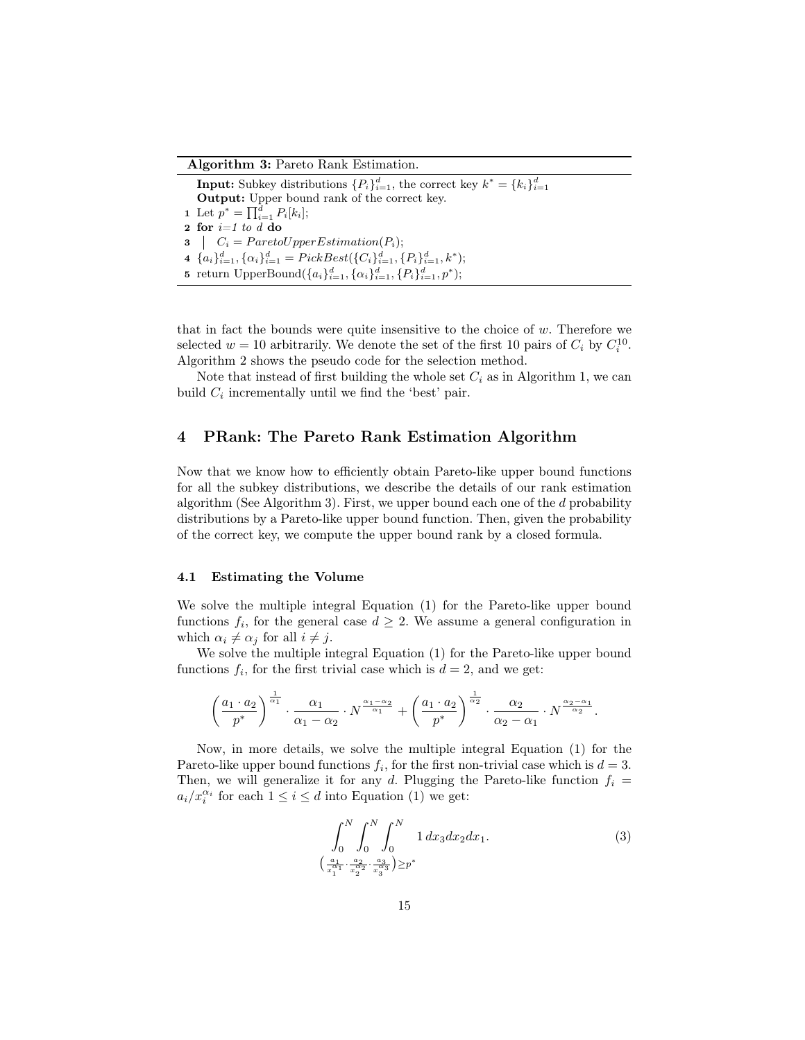Algorithm 3: Pareto Rank Estimation.

**Input:** Subkey distributions  ${P_i}_{i=1}^d$ , the correct key  $k^* = {k_i}_{i=1}^d$ Output: Upper bound rank of the correct key. 1 Let  $p^* = \prod_{i=1}^d P_i[k_i];$ 2 for  $i=1$  to  $\overline{d}$  do  $3 \mid C_i = Pareto UpperEstimation(P_i);$ 4  ${a_i}_{i=1}^d, {\alpha_i}_{i=1}^d = PickBest({C_i}_{i=1}^d, {P_i}_{i=1}^d, k^*)$ ; 5 return UpperBound $(\{a_i\}_{i=1}^d, {\{\alpha_i\}_{i=1}^d, {\{P_i\}_{i=1}^d, p^*}})$ ;

that in fact the bounds were quite insensitive to the choice of *w*. Therefore we selected  $w = 10$  arbitrarily. We denote the set of the first 10 pairs of  $C_i$  by  $C_i^{10}$ . Algorithm 2 shows the pseudo code for the selection method.

Note that instead of first building the whole set  $C_i$  as in Algorithm 1, we can build  $C_i$  incrementally until we find the 'best' pair.

# 4 PRank: The Pareto Rank Estimation Algorithm

Now that we know how to efficiently obtain Pareto-like upper bound functions for all the subkey distributions, we describe the details of our rank estimation algorithm (See Algorithm 3). First, we upper bound each one of the *d* probability distributions by a Pareto-like upper bound function. Then, given the probability of the correct key, we compute the upper bound rank by a closed formula.

#### 4.1 Estimating the Volume

We solve the multiple integral Equation (1) for the Pareto-like upper bound functions  $f_i$ , for the general case  $d \geq 2$ . We assume a general configuration in which  $\alpha_i \neq \alpha_j$  for all  $i \neq j$ .

We solve the multiple integral Equation (1) for the Pareto-like upper bound functions  $f_i$ , for the first trivial case which is  $d = 2$ , and we get:

$$
\left(\frac{a_1 \cdot a_2}{p^*}\right)^{\frac{1}{\alpha_1}} \cdot \frac{\alpha_1}{\alpha_1 - \alpha_2} \cdot N^{\frac{\alpha_1 - \alpha_2}{\alpha_1}} + \left(\frac{a_1 \cdot a_2}{p^*}\right)^{\frac{1}{\alpha_2}} \cdot \frac{\alpha_2}{\alpha_2 - \alpha_1} \cdot N^{\frac{\alpha_2 - \alpha_1}{\alpha_2}}.
$$

Now, in more details, we solve the multiple integral Equation (1) for the Pareto-like upper bound functions  $f_i$ , for the first non-trivial case which is  $d = 3$ . Then, we will generalize it for any *d*. Plugging the Pareto-like function  $f_i$  $a_i/x_i^{\alpha_i}$  for each  $1 \leq i \leq d$  into Equation (1) we get:

$$
\int_0^N \int_0^N \int_0^N 1 \, dx_3 \, dx_2 \, dx_1. \tag{3}
$$
\n
$$
\left(\frac{a_1}{x_1^{a_1}} \cdot \frac{a_2}{x_2^{a_2}} \cdot \frac{a_3}{x_3^{a_3}}\right) \geq p^*
$$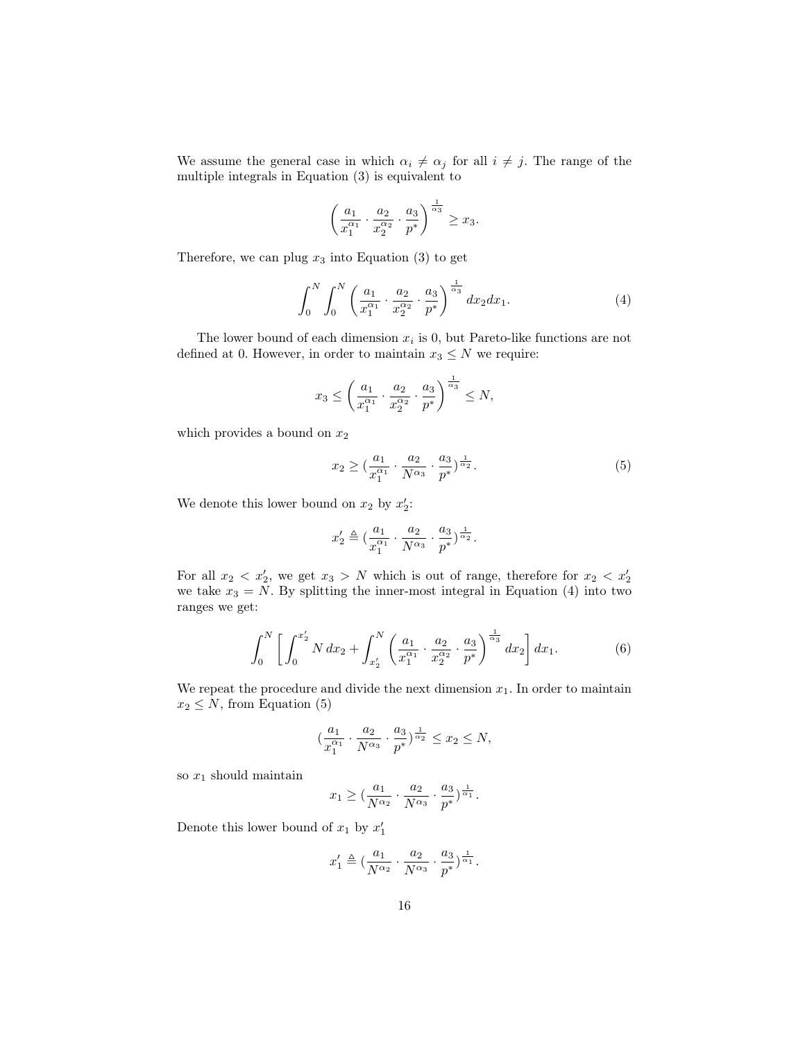We assume the general case in which  $\alpha_i \neq \alpha_j$  for all  $i \neq j$ . The range of the multiple integrals in Equation (3) is equivalent to

$$
\left(\frac{a_1}{x_1^{\alpha_1}} \cdot \frac{a_2}{x_2^{\alpha_2}} \cdot \frac{a_3}{p^*}\right)^{\frac{1}{\alpha_3}} \ge x_3.
$$

Therefore, we can plug  $x_3$  into Equation (3) to get

$$
\int_0^N \int_0^N \left( \frac{a_1}{x_1^{\alpha_1}} \cdot \frac{a_2}{x_2^{\alpha_2}} \cdot \frac{a_3}{p^*} \right)^{\frac{1}{\alpha_3}} dx_2 dx_1.
$$
 (4)

The lower bound of each dimension *x<sup>i</sup>* is 0, but Pareto-like functions are not defined at 0. However, in order to maintain  $x_3 \leq N$  we require:

$$
x_3 \le \left(\frac{a_1}{x_1^{\alpha_1}} \cdot \frac{a_2}{x_2^{\alpha_2}} \cdot \frac{a_3}{p^*}\right)^{\frac{1}{\alpha_3}} \le N,
$$

which provides a bound on  $x_2$ 

$$
x_2 \ge \left(\frac{a_1}{x_1^{\alpha_1}} \cdot \frac{a_2}{N^{\alpha_3}} \cdot \frac{a_3}{p^*}\right)^{\frac{1}{\alpha_2}}.
$$
 (5)

We denote this lower bound on  $x_2$  by  $x'_2$ :

$$
x_2'\triangleq (\frac{a_1}{x_1^{\alpha_1}}\cdot \frac{a_2}{N^{\alpha_3}}\cdot \frac{a_3}{p^*})^{\frac{1}{\alpha_2}}.
$$

For all  $x_2 < x'_2$ , we get  $x_3 > N$  which is out of range, therefore for  $x_2 < x'_2$ we take  $x_3 = N$ . By splitting the inner-most integral in Equation (4) into two ranges we get:

$$
\int_0^N \left[ \int_0^{x_2'} N \, dx_2 + \int_{x_2'}^N \left( \frac{a_1}{x_1^{\alpha_1}} \cdot \frac{a_2}{x_2^{\alpha_2}} \cdot \frac{a_3}{p^*} \right)^{\frac{1}{\alpha_3}} dx_2 \right] dx_1. \tag{6}
$$

We repeat the procedure and divide the next dimension  $x_1$ . In order to maintain  $x_2 \leq N$ , from Equation (5)

$$
(\frac{a_1}{x_1^{\alpha_1}}\cdot\frac{a_2}{N^{\alpha_3}}\cdot\frac{a_3}{p^*})^{\frac{1}{\alpha_2}}\leq x_2\leq N,
$$

so *x*<sup>1</sup> should maintain

$$
x_1 \ge \left(\frac{a_1}{N^{\alpha_2}} \cdot \frac{a_2}{N^{\alpha_3}} \cdot \frac{a_3}{p^*}\right)^{\frac{1}{\alpha_1}}.
$$

Denote this lower bound of  $x_1$  by  $x'_1$ 

$$
x'_1 \triangleq (\frac{a_1}{N^{\alpha_2}} \cdot \frac{a_2}{N^{\alpha_3}} \cdot \frac{a_3}{p^*})^{\frac{1}{\alpha_1}}.
$$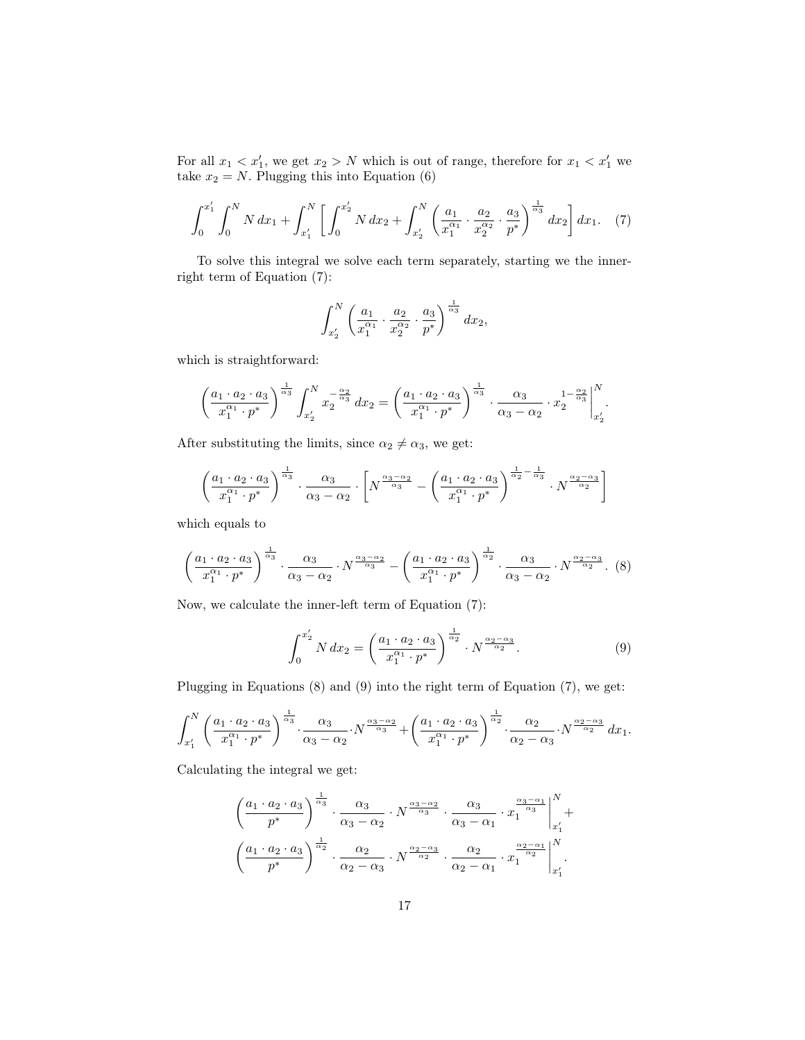For all  $x_1 < x_1'$ , we get  $x_2 > N$  which is out of range, therefore for  $x_1 < x_1'$  we take  $x_2 = N$ . Plugging this into Equation (6)

$$
\int_0^{x_1'} \int_0^N N \, dx_1 + \int_{x_1'}^N \left[ \int_0^{x_2'} N \, dx_2 + \int_{x_2'}^N \left( \frac{a_1}{x_1^{\alpha_1}} \cdot \frac{a_2}{x_2^{\alpha_2}} \cdot \frac{a_3}{p^*} \right)^{\frac{1}{\alpha_3}} dx_2 \right] dx_1. \tag{7}
$$

To solve this integral we solve each term separately, starting we the innerright term of Equation (7):

$$
\int_{x_2'}^N \left( \frac{a_1}{x_1^{\alpha_1}} \cdot \frac{a_2}{x_2^{\alpha_2}} \cdot \frac{a_3}{p^*} \right)^{\frac{1}{\alpha_3}} dx_2,
$$

which is straightforward:

$$
\left(\frac{a_1 \cdot a_2 \cdot a_3}{x_1^{\alpha_1} \cdot p^*}\right)^{\frac{1}{\alpha_3}} \int_{x'_2}^N x_2^{-\frac{\alpha_2}{\alpha_3}} dx_2 = \left(\frac{a_1 \cdot a_2 \cdot a_3}{x_1^{\alpha_1} \cdot p^*}\right)^{\frac{1}{\alpha_3}} \cdot \frac{\alpha_3}{\alpha_3 - \alpha_2} \cdot x_2^{1 - \frac{\alpha_2}{\alpha_3}} \Big|_{x'_2}^N.
$$

After substituting the limits, since  $\alpha_2 \neq \alpha_3$ , we get:

$$
\left(\frac{a_1 \cdot a_2 \cdot a_3}{x_1^{\alpha_1} \cdot p^*}\right)^{\frac{1}{\alpha_3}} \cdot \frac{\alpha_3}{\alpha_3 - \alpha_2} \cdot \left[N^{\frac{\alpha_3 - \alpha_2}{\alpha_3}} - \left(\frac{a_1 \cdot a_2 \cdot a_3}{x_1^{\alpha_1} \cdot p^*}\right)^{\frac{1}{\alpha_2} - \frac{1}{\alpha_3}} \cdot N^{\frac{\alpha_2 - \alpha_3}{\alpha_2}}\right]
$$

which equals to

$$
\left(\frac{a_1 \cdot a_2 \cdot a_3}{x_1^{\alpha_1} \cdot p^*}\right)^{\frac{1}{\alpha_3}} \cdot \frac{\alpha_3}{\alpha_3 - \alpha_2} \cdot N^{\frac{\alpha_3 - \alpha_2}{\alpha_3}} - \left(\frac{a_1 \cdot a_2 \cdot a_3}{x_1^{\alpha_1} \cdot p^*}\right)^{\frac{1}{\alpha_2}} \cdot \frac{\alpha_3}{\alpha_3 - \alpha_2} \cdot N^{\frac{\alpha_2 - \alpha_3}{\alpha_2}}. (8)
$$

Now, we calculate the inner-left term of Equation (7):

$$
\int_0^{x'_2} N \, dx_2 = \left( \frac{a_1 \cdot a_2 \cdot a_3}{x_1^{\alpha_1} \cdot p^*} \right)^{\frac{1}{\alpha_2}} \cdot N^{\frac{\alpha_2 - \alpha_3}{\alpha_2}}.
$$
 (9)

Plugging in Equations (8) and (9) into the right term of Equation (7), we get:

$$
\int_{x_1'}^N \left( \frac{a_1 \cdot a_2 \cdot a_3}{x_1^{\alpha_1} \cdot p^*} \right)^{\frac{1}{\alpha_3}} \cdot \frac{\alpha_3}{\alpha_3 - \alpha_2} \cdot N^{\frac{\alpha_3 - \alpha_2}{\alpha_3}} + \left( \frac{a_1 \cdot a_2 \cdot a_3}{x_1^{\alpha_1} \cdot p^*} \right)^{\frac{1}{\alpha_2}} \cdot \frac{\alpha_2}{\alpha_2 - \alpha_3} \cdot N^{\frac{\alpha_2 - \alpha_3}{\alpha_2}} dx_1.
$$

Calculating the integral we get:

$$
\left(\frac{a_1 \cdot a_2 \cdot a_3}{p^*}\right)^{\frac{1}{\alpha_3}} \cdot \frac{\alpha_3}{\alpha_3 - \alpha_2} \cdot N^{\frac{\alpha_3 - \alpha_2}{\alpha_3}} \cdot \frac{\alpha_3}{\alpha_3 - \alpha_1} \cdot x_1^{-\frac{\alpha_3 - \alpha_1}{\alpha_3}}\Big|_{x'_1}^N + \left(\frac{a_1 \cdot a_2 \cdot a_3}{p^*}\right)^{\frac{1}{\alpha_2}} \cdot \frac{\alpha_2}{\alpha_2 - \alpha_3} \cdot N^{\frac{\alpha_2 - \alpha_3}{\alpha_2}} \cdot \frac{\alpha_2}{\alpha_2 - \alpha_1} \cdot x_1^{-\frac{\alpha_2 - \alpha_1}{\alpha_2}}\Big|_{x'_1}^N.
$$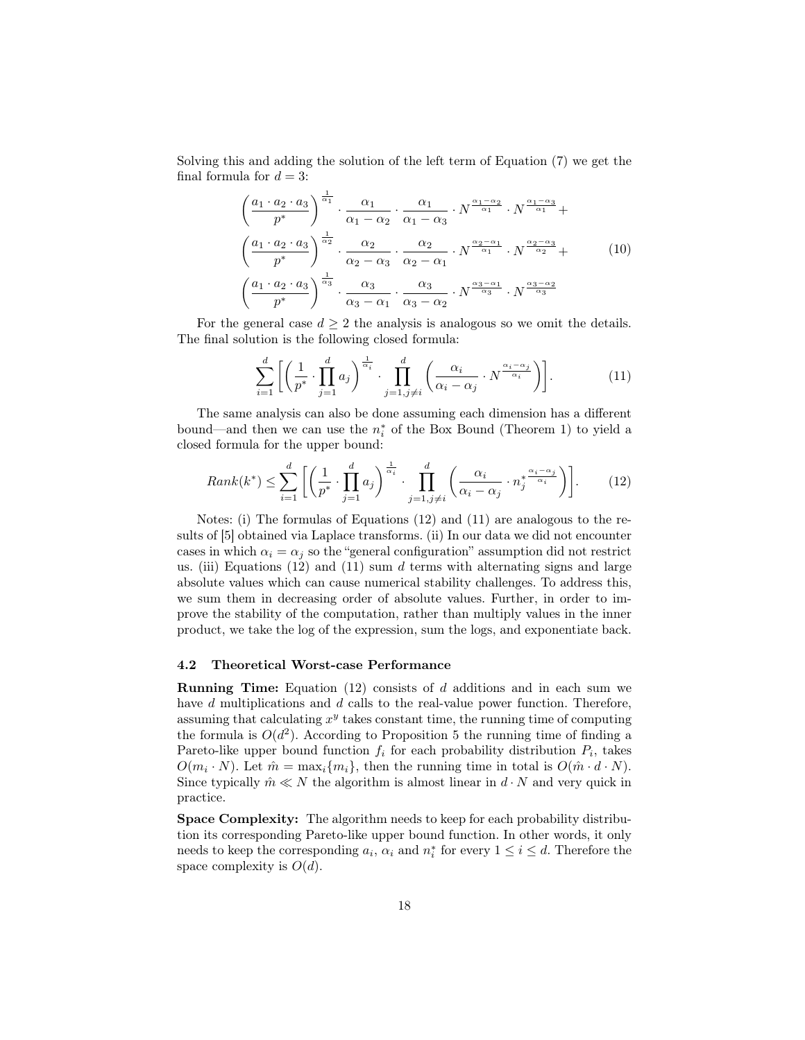Solving this and adding the solution of the left term of Equation (7) we get the final formula for  $d = 3$ :

$$
\left(\frac{a_1 \cdot a_2 \cdot a_3}{p^*}\right)^{\frac{1}{\alpha_1}} \cdot \frac{\alpha_1}{\alpha_1 - \alpha_2} \cdot \frac{\alpha_1}{\alpha_1 - \alpha_3} \cdot N^{\frac{\alpha_1 - \alpha_2}{\alpha_1}} \cdot N^{\frac{\alpha_1 - \alpha_3}{\alpha_1}} + \left(\frac{a_1 \cdot a_2 \cdot a_3}{p^*}\right)^{\frac{1}{\alpha_2}} \cdot \frac{\alpha_2}{\alpha_2 - \alpha_3} \cdot \frac{\alpha_2}{\alpha_2 - \alpha_1} \cdot N^{\frac{\alpha_2 - \alpha_1}{\alpha_1}} \cdot N^{\frac{\alpha_2 - \alpha_3}{\alpha_2}} + \left(10\right)
$$
\n
$$
\left(\frac{a_1 \cdot a_2 \cdot a_3}{p^*}\right)^{\frac{1}{\alpha_3}} \cdot \frac{\alpha_3}{\alpha_3 - \alpha_1} \cdot \frac{\alpha_3}{\alpha_3 - \alpha_2} \cdot N^{\frac{\alpha_3 - \alpha_1}{\alpha_3}} \cdot N^{\frac{\alpha_3 - \alpha_2}{\alpha_3}}
$$
\n
$$
(10)
$$

For the general case  $d \geq 2$  the analysis is analogous so we omit the details. The final solution is the following closed formula:

$$
\sum_{i=1}^{d} \left[ \left( \frac{1}{p^*} \cdot \prod_{j=1}^{d} a_j \right)^{\frac{1}{\alpha_i}} \cdot \prod_{j=1, j \neq i}^{d} \left( \frac{\alpha_i}{\alpha_i - \alpha_j} \cdot N^{\frac{\alpha_i - \alpha_j}{\alpha_i}} \right) \right]. \tag{11}
$$

The same analysis can also be done assuming each dimension has a different bound—and then we can use the *n ∗ i* of the Box Bound (Theorem 1) to yield a closed formula for the upper bound:

$$
Rank(k^*) \le \sum_{i=1}^d \left[ \left( \frac{1}{p^*} \cdot \prod_{j=1}^d a_j \right)^{\frac{1}{\alpha_i}} \cdot \prod_{j=1, j \neq i}^d \left( \frac{\alpha_i}{\alpha_i - \alpha_j} \cdot n_j^{* \frac{\alpha_i - \alpha_j}{\alpha_i}} \right) \right].
$$
 (12)

Notes: (i) The formulas of Equations (12) and (11) are analogous to the results of [5] obtained via Laplace transforms. (ii) In our data we did not encounter cases in which  $\alpha_i = \alpha_j$  so the "general configuration" assumption did not restrict us. (iii) Equations  $(12)$  and  $(11)$  sum *d* terms with alternating signs and large absolute values which can cause numerical stability challenges. To address this, we sum them in decreasing order of absolute values. Further, in order to improve the stability of the computation, rather than multiply values in the inner product, we take the log of the expression, sum the logs, and exponentiate back.

### 4.2 Theoretical Worst-case Performance

Running Time: Equation (12) consists of *d* additions and in each sum we have *d* multiplications and *d* calls to the real-value power function. Therefore, assuming that calculating *x y* takes constant time, the running time of computing the formula is  $O(d^2)$ . According to Proposition 5 the running time of finding a Pareto-like upper bound function  $f_i$  for each probability distribution  $P_i$ , takes  $O(m_i \cdot N)$ . Let  $\hat{m} = \max_i \{m_i\}$ , then the running time in total is  $O(\hat{m} \cdot d \cdot N)$ . Since typically  $\hat{m} \ll N$  the algorithm is almost linear in  $d \cdot N$  and very quick in practice.

Space Complexity: The algorithm needs to keep for each probability distribution its corresponding Pareto-like upper bound function. In other words, it only needs to keep the corresponding  $a_i$ ,  $\alpha_i$  and  $n_i^*$  for every  $1 \leq i \leq d$ . Therefore the space complexity is  $O(d)$ .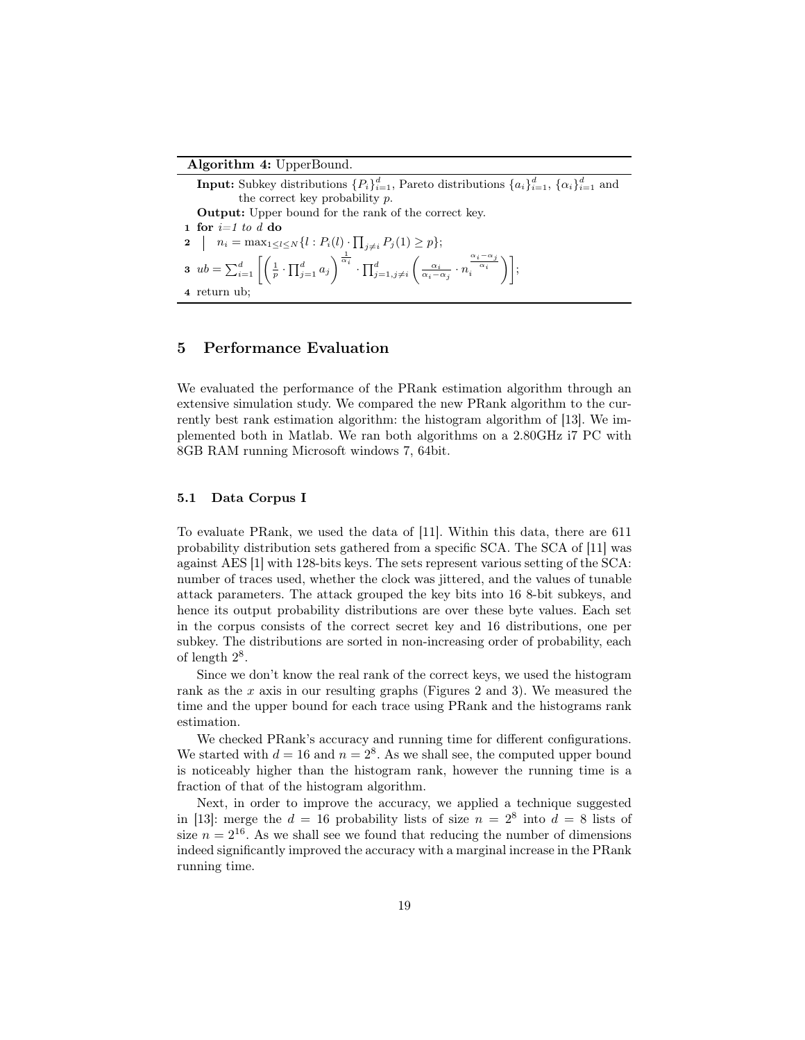#### Algorithm 4: UpperBound.

**Input:** Subkey distributions  $\{P_i\}_{i=1}^d$ , Pareto distributions  $\{a_i\}_{i=1}^d$ ,  $\{\alpha_i\}_{i=1}^d$  and the correct key probability *p*. Output: Upper bound for the rank of the correct key. 1 for *i=1 to d* do  $2 \mid n_i = \max_{1 \leq l \leq N} \{l : P_i(l) \cdot \prod_{j \neq i} P_j(1) \geq p\};$ **3**  $ub = \sum_{i=1}^{d} \left[ \left( \frac{1}{p} \cdot \prod_{j=1}^{d} a_j \right) \right]$  $\int_0^{\frac{1}{\alpha_i}} \cdot \prod_{j=1, j \neq i}^d$  $\left( \frac{\alpha_i}{\alpha_i - \alpha_j} \cdot n \right)$  $\left.\frac{\alpha_i-\alpha_j}{\alpha_i}\right\}\right];$ 4 return ub;

# 5 Performance Evaluation

We evaluated the performance of the PRank estimation algorithm through an extensive simulation study. We compared the new PRank algorithm to the currently best rank estimation algorithm: the histogram algorithm of [13]. We implemented both in Matlab. We ran both algorithms on a 2.80GHz i7 PC with 8GB RAM running Microsoft windows 7, 64bit.

### 5.1 Data Corpus I

To evaluate PRank, we used the data of [11]. Within this data, there are 611 probability distribution sets gathered from a specific SCA. The SCA of [11] was against AES [1] with 128-bits keys. The sets represent various setting of the SCA: number of traces used, whether the clock was jittered, and the values of tunable attack parameters. The attack grouped the key bits into 16 8-bit subkeys, and hence its output probability distributions are over these byte values. Each set in the corpus consists of the correct secret key and 16 distributions, one per subkey. The distributions are sorted in non-increasing order of probability, each of length  $2^8$ .

Since we don't know the real rank of the correct keys, we used the histogram rank as the *x* axis in our resulting graphs (Figures 2 and 3). We measured the time and the upper bound for each trace using PRank and the histograms rank estimation.

We checked PRank's accuracy and running time for different configurations. We started with  $d = 16$  and  $n = 2<sup>8</sup>$ . As we shall see, the computed upper bound is noticeably higher than the histogram rank, however the running time is a fraction of that of the histogram algorithm.

Next, in order to improve the accuracy, we applied a technique suggested in [13]: merge the  $d = 16$  probability lists of size  $n = 2^8$  into  $d = 8$  lists of size  $n = 2^{16}$ . As we shall see we found that reducing the number of dimensions indeed significantly improved the accuracy with a marginal increase in the PRank running time.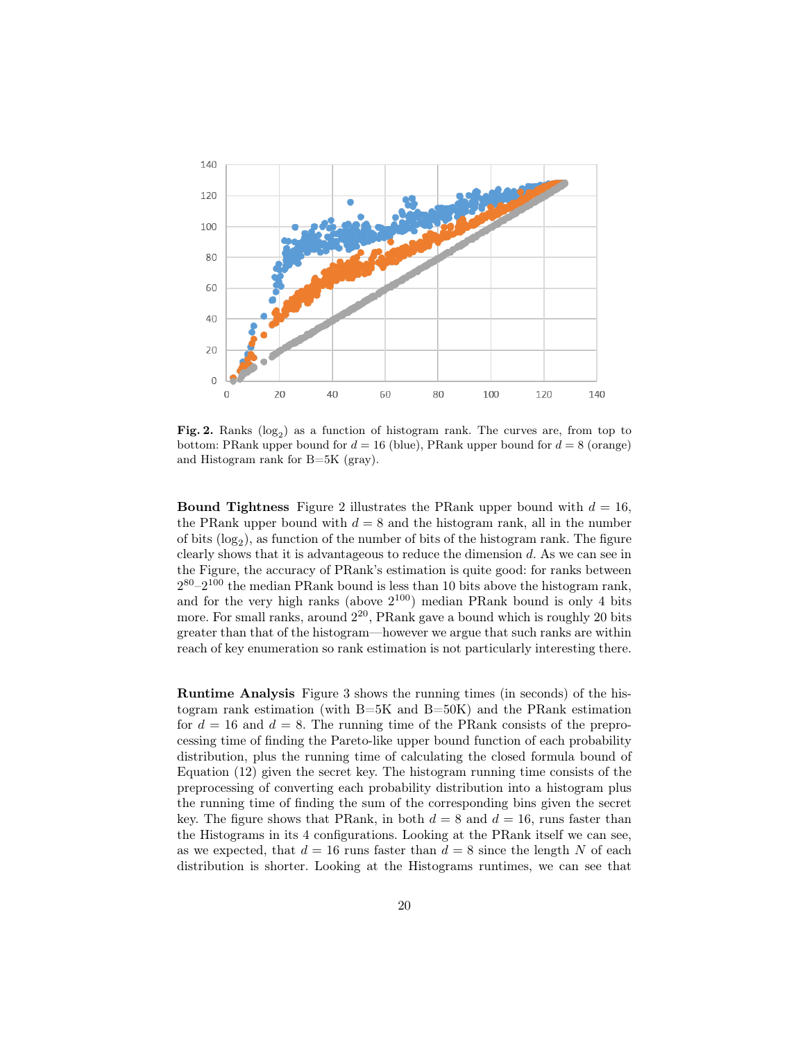

Fig. 2. Ranks  $(log_2)$  as a function of histogram rank. The curves are, from top to bottom: PRank upper bound for  $d = 16$  (blue), PRank upper bound for  $d = 8$  (orange) and Histogram rank for B=5K (gray).

**Bound Tightness** Figure 2 illustrates the PRank upper bound with  $d = 16$ . the PRank upper bound with  $d = 8$  and the histogram rank, all in the number of bits  $(\log_2)$ , as function of the number of bits of the histogram rank. The figure clearly shows that it is advantageous to reduce the dimension *d*. As we can see in the Figure, the accuracy of PRank's estimation is quite good: for ranks between  $2^{80} - 2^{100}$  the median PRank bound is less than 10 bits above the histogram rank, and for the very high ranks (above  $2^{100}$ ) median PRank bound is only 4 bits more. For small ranks, around  $2^{20}$ , PRank gave a bound which is roughly 20 bits greater than that of the histogram—however we argue that such ranks are within reach of key enumeration so rank estimation is not particularly interesting there.

Runtime Analysis Figure 3 shows the running times (in seconds) of the histogram rank estimation (with B=5K and B=50K) and the PRank estimation for  $d = 16$  and  $d = 8$ . The running time of the PRank consists of the preprocessing time of finding the Pareto-like upper bound function of each probability distribution, plus the running time of calculating the closed formula bound of Equation (12) given the secret key. The histogram running time consists of the preprocessing of converting each probability distribution into a histogram plus the running time of finding the sum of the corresponding bins given the secret key. The figure shows that PRank, in both  $d = 8$  and  $d = 16$ , runs faster than the Histograms in its 4 configurations. Looking at the PRank itself we can see, as we expected, that  $d = 16$  runs faster than  $d = 8$  since the length N of each distribution is shorter. Looking at the Histograms runtimes, we can see that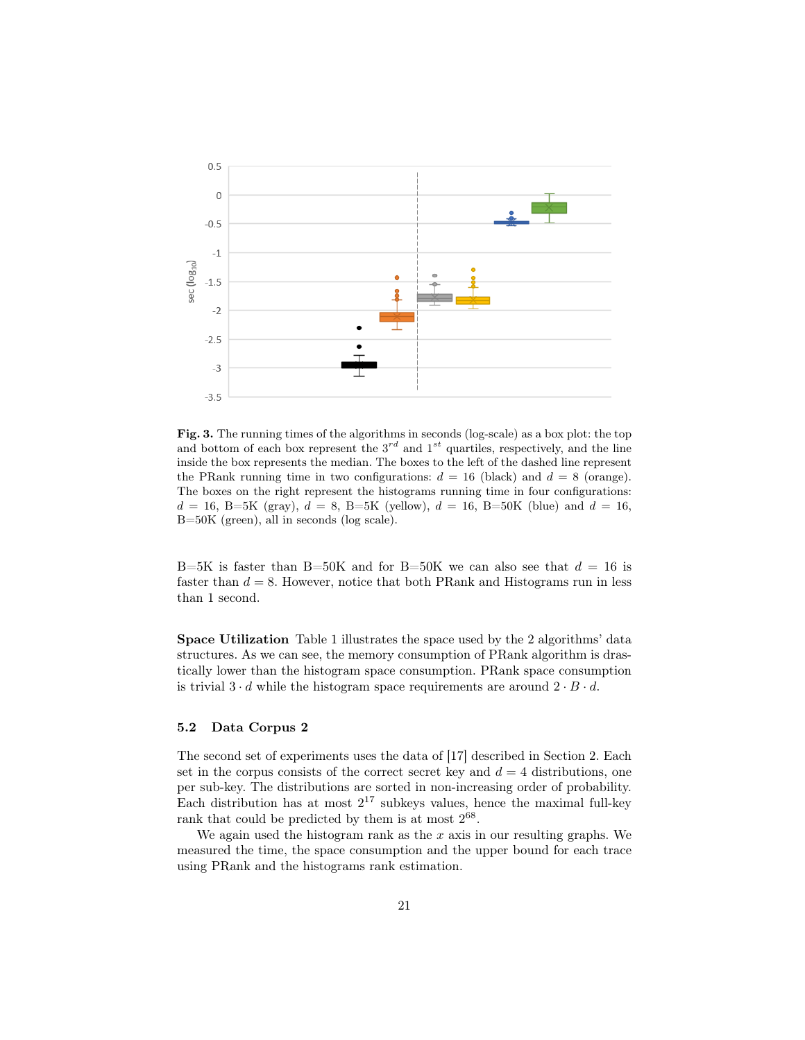

Fig. 3. The running times of the algorithms in seconds (log-scale) as a box plot: the top and bottom of each box represent the  $3^{rd}$  and  $1^{st}$  quartiles, respectively, and the line inside the box represents the median. The boxes to the left of the dashed line represent the PRank running time in two configurations:  $d = 16$  (black) and  $d = 8$  (orange). The boxes on the right represent the histograms running time in four configurations:  $d = 16$ , B=5K (gray),  $d = 8$ , B=5K (yellow),  $d = 16$ , B=50K (blue) and  $d = 16$ , B=50K (green), all in seconds (log scale).

B=5K is faster than B=50K and for B=50K we can also see that  $d = 16$  is faster than  $d = 8$ . However, notice that both PRank and Histograms run in less than 1 second.

Space Utilization Table 1 illustrates the space used by the 2 algorithms' data structures. As we can see, the memory consumption of PRank algorithm is drastically lower than the histogram space consumption. PRank space consumption is trivial  $3 \cdot d$  while the histogram space requirements are around  $2 \cdot B \cdot d$ .

#### 5.2 Data Corpus 2

The second set of experiments uses the data of [17] described in Section 2. Each set in the corpus consists of the correct secret key and  $d = 4$  distributions, one per sub-key. The distributions are sorted in non-increasing order of probability. Each distribution has at most  $2^{17}$  subkeys values, hence the maximal full-key rank that could be predicted by them is at most  $2^{68}$ .

We again used the histogram rank as the *x* axis in our resulting graphs. We measured the time, the space consumption and the upper bound for each trace using PRank and the histograms rank estimation.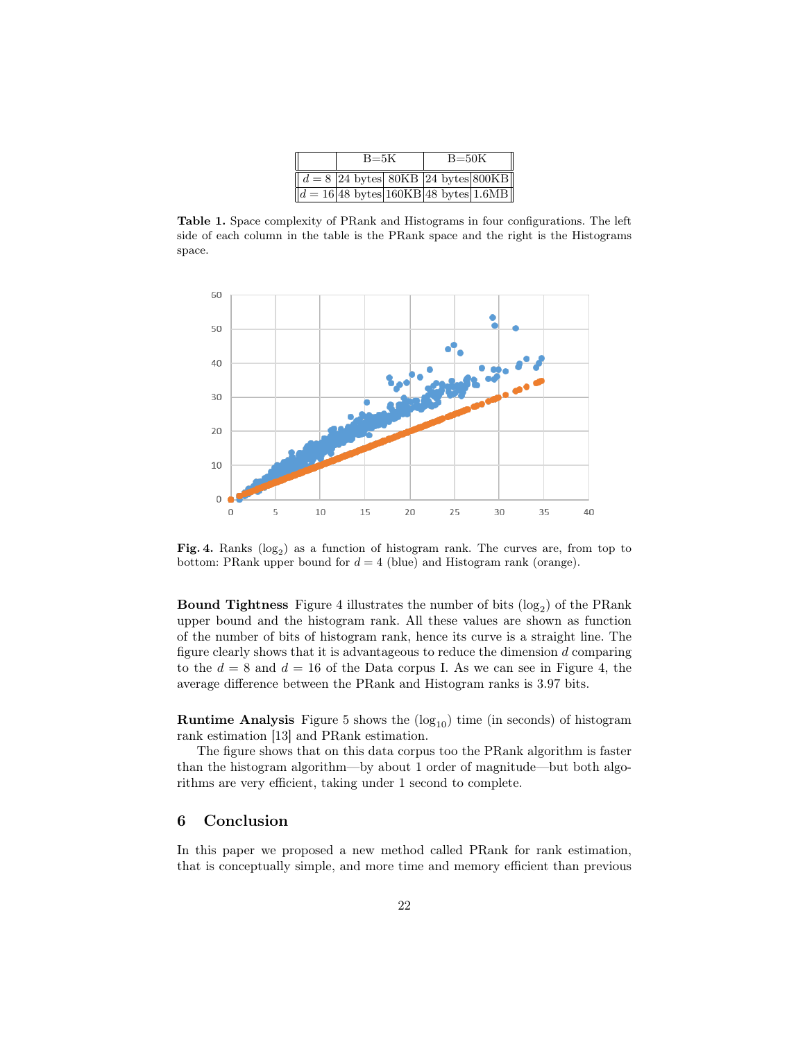| $B = 5K$                                                |  | $B = 50K$ |  |  |
|---------------------------------------------------------|--|-----------|--|--|
| $d = 8$ 24 bytes 80KB 24 bytes 800KB                    |  |           |  |  |
| $d = 16 48 \text{ bytes} 160KB 48 \text{ bytes} 1.6MB $ |  |           |  |  |

Table 1. Space complexity of PRank and Histograms in four configurations. The left side of each column in the table is the PRank space and the right is the Histograms space.



Fig. 4. Ranks  $(log_2)$  as a function of histogram rank. The curves are, from top to bottom: PRank upper bound for  $d = 4$  (blue) and Histogram rank (orange).

**Bound Tightness** Figure 4 illustrates the number of bits  $(\log_2)$  of the PRank upper bound and the histogram rank. All these values are shown as function of the number of bits of histogram rank, hence its curve is a straight line. The figure clearly shows that it is advantageous to reduce the dimension *d* comparing to the  $d = 8$  and  $d = 16$  of the Data corpus I. As we can see in Figure 4, the average difference between the PRank and Histogram ranks is 3.97 bits.

**Runtime Analysis** Figure 5 shows the  $(log_{10})$  time (in seconds) of histogram rank estimation [13] and PRank estimation.

The figure shows that on this data corpus too the PRank algorithm is faster than the histogram algorithm—by about 1 order of magnitude—but both algorithms are very efficient, taking under 1 second to complete.

### 6 Conclusion

In this paper we proposed a new method called PRank for rank estimation, that is conceptually simple, and more time and memory efficient than previous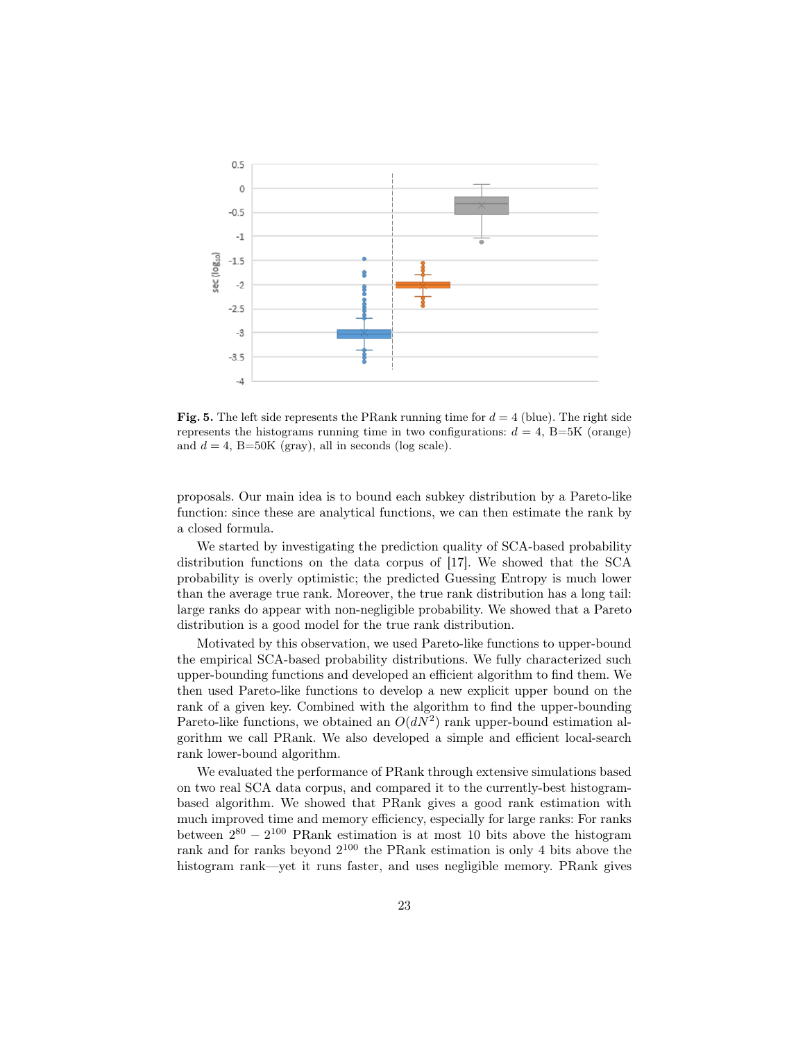

Fig. 5. The left side represents the PRank running time for  $d = 4$  (blue). The right side represents the histograms running time in two configurations:  $d = 4$ , B=5K (orange) and  $d = 4$ , B=50K (gray), all in seconds (log scale).

proposals. Our main idea is to bound each subkey distribution by a Pareto-like function: since these are analytical functions, we can then estimate the rank by a closed formula.

We started by investigating the prediction quality of SCA-based probability distribution functions on the data corpus of [17]. We showed that the SCA probability is overly optimistic; the predicted Guessing Entropy is much lower than the average true rank. Moreover, the true rank distribution has a long tail: large ranks do appear with non-negligible probability. We showed that a Pareto distribution is a good model for the true rank distribution.

Motivated by this observation, we used Pareto-like functions to upper-bound the empirical SCA-based probability distributions. We fully characterized such upper-bounding functions and developed an efficient algorithm to find them. We then used Pareto-like functions to develop a new explicit upper bound on the rank of a given key. Combined with the algorithm to find the upper-bounding Pareto-like functions, we obtained an  $O(dN^2)$  rank upper-bound estimation algorithm we call PRank. We also developed a simple and efficient local-search rank lower-bound algorithm.

We evaluated the performance of PRank through extensive simulations based on two real SCA data corpus, and compared it to the currently-best histogrambased algorithm. We showed that PRank gives a good rank estimation with much improved time and memory efficiency, especially for large ranks: For ranks between 2 <sup>80</sup> *−* 2 <sup>100</sup> PRank estimation is at most 10 bits above the histogram rank and for ranks beyond  $2^{100}$  the PRank estimation is only 4 bits above the histogram rank—yet it runs faster, and uses negligible memory. PRank gives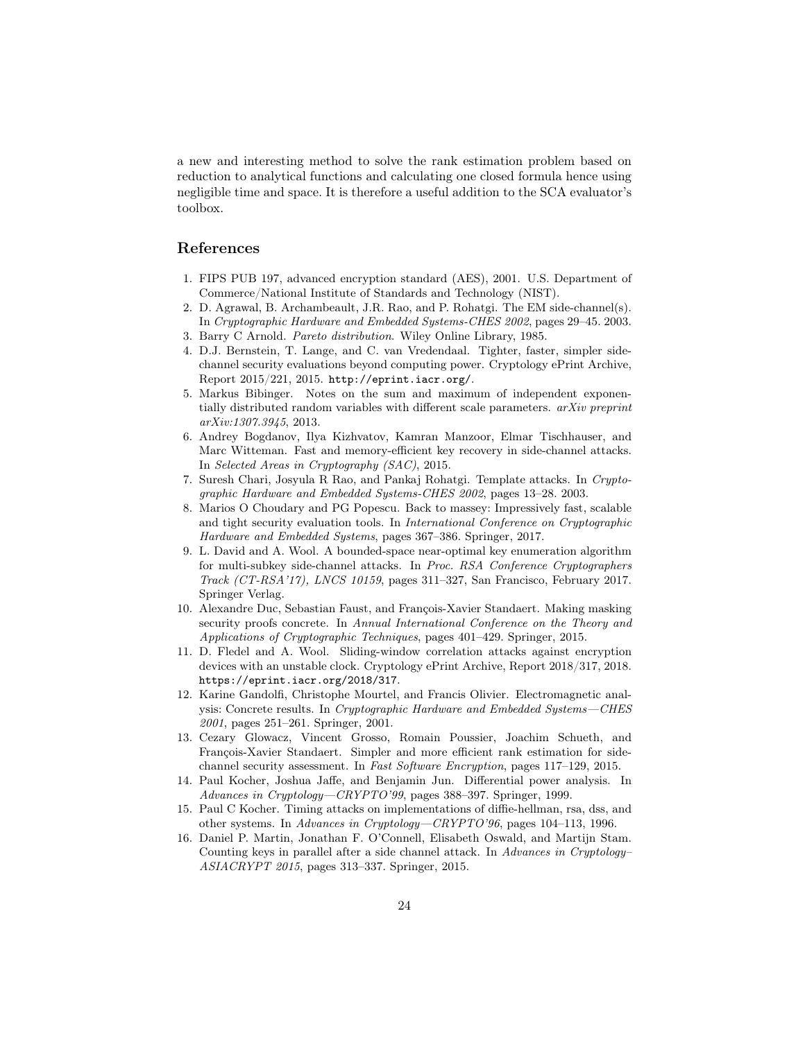a new and interesting method to solve the rank estimation problem based on reduction to analytical functions and calculating one closed formula hence using negligible time and space. It is therefore a useful addition to the SCA evaluator's toolbox.

# References

- 1. FIPS PUB 197, advanced encryption standard (AES), 2001. U.S. Department of Commerce/National Institute of Standards and Technology (NIST).
- 2. D. Agrawal, B. Archambeault, J.R. Rao, and P. Rohatgi. The EM side-channel(s). In *Cryptographic Hardware and Embedded Systems-CHES 2002*, pages 29–45. 2003.
- 3. Barry C Arnold. *Pareto distribution*. Wiley Online Library, 1985.
- 4. D.J. Bernstein, T. Lange, and C. van Vredendaal. Tighter, faster, simpler sidechannel security evaluations beyond computing power. Cryptology ePrint Archive, Report 2015/221, 2015. http://eprint.iacr.org/.
- 5. Markus Bibinger. Notes on the sum and maximum of independent exponentially distributed random variables with different scale parameters. *arXiv preprint arXiv:1307.3945*, 2013.
- 6. Andrey Bogdanov, Ilya Kizhvatov, Kamran Manzoor, Elmar Tischhauser, and Marc Witteman. Fast and memory-efficient key recovery in side-channel attacks. In *Selected Areas in Cryptography (SAC)*, 2015.
- 7. Suresh Chari, Josyula R Rao, and Pankaj Rohatgi. Template attacks. In *Cryptographic Hardware and Embedded Systems-CHES 2002*, pages 13–28. 2003.
- 8. Marios O Choudary and PG Popescu. Back to massey: Impressively fast, scalable and tight security evaluation tools. In *International Conference on Cryptographic Hardware and Embedded Systems*, pages 367–386. Springer, 2017.
- 9. L. David and A. Wool. A bounded-space near-optimal key enumeration algorithm for multi-subkey side-channel attacks. In *Proc. RSA Conference Cryptographers Track (CT-RSA'17), LNCS 10159*, pages 311–327, San Francisco, February 2017. Springer Verlag.
- 10. Alexandre Duc, Sebastian Faust, and François-Xavier Standaert. Making masking security proofs concrete. In *Annual International Conference on the Theory and Applications of Cryptographic Techniques*, pages 401–429. Springer, 2015.
- 11. D. Fledel and A. Wool. Sliding-window correlation attacks against encryption devices with an unstable clock. Cryptology ePrint Archive, Report 2018/317, 2018. https://eprint.iacr.org/2018/317.
- 12. Karine Gandolfi, Christophe Mourtel, and Francis Olivier. Electromagnetic analysis: Concrete results. In *Cryptographic Hardware and Embedded Systems—CHES 2001*, pages 251–261. Springer, 2001.
- 13. Cezary Glowacz, Vincent Grosso, Romain Poussier, Joachim Schueth, and François-Xavier Standaert. Simpler and more efficient rank estimation for sidechannel security assessment. In *Fast Software Encryption*, pages 117–129, 2015.
- 14. Paul Kocher, Joshua Jaffe, and Benjamin Jun. Differential power analysis. In *Advances in Cryptology—CRYPTO'99*, pages 388–397. Springer, 1999.
- 15. Paul C Kocher. Timing attacks on implementations of diffie-hellman, rsa, dss, and other systems. In *Advances in Cryptology—CRYPTO'96*, pages 104–113, 1996.
- 16. Daniel P. Martin, Jonathan F. O'Connell, Elisabeth Oswald, and Martijn Stam. Counting keys in parallel after a side channel attack. In *Advances in Cryptology– ASIACRYPT 2015*, pages 313–337. Springer, 2015.